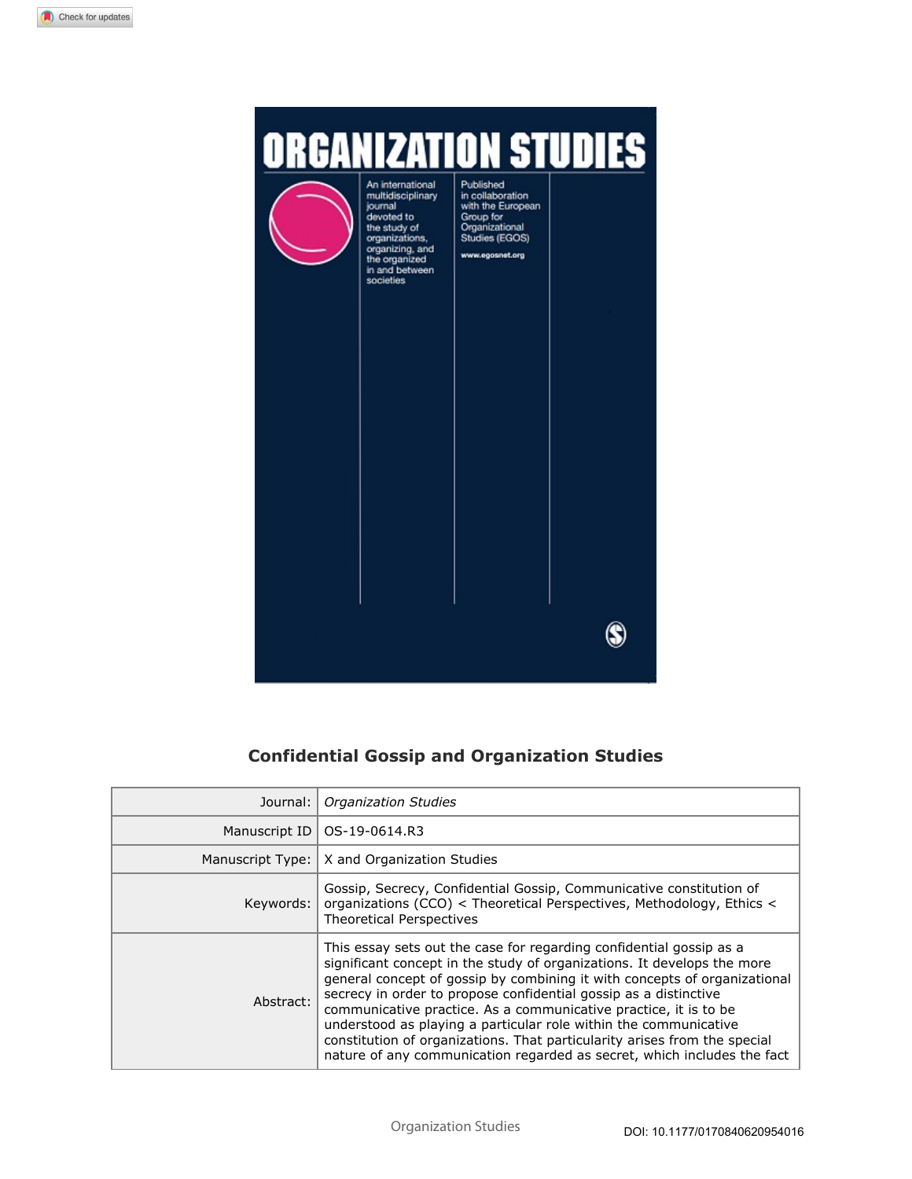

# **Confidential Gossip and Organization Studies**

| Journal:  | <b>Organization Studies</b>                                                                                                                                                                                                                                                                                                                                                                                                                                                                                                                                                                     |  |
|-----------|-------------------------------------------------------------------------------------------------------------------------------------------------------------------------------------------------------------------------------------------------------------------------------------------------------------------------------------------------------------------------------------------------------------------------------------------------------------------------------------------------------------------------------------------------------------------------------------------------|--|
|           | Manuscript ID   OS-19-0614.R3                                                                                                                                                                                                                                                                                                                                                                                                                                                                                                                                                                   |  |
|           | Manuscript Type:   X and Organization Studies                                                                                                                                                                                                                                                                                                                                                                                                                                                                                                                                                   |  |
| Keywords: | Gossip, Secrecy, Confidential Gossip, Communicative constitution of<br>organizations (CCO) < Theoretical Perspectives, Methodology, Ethics <<br><b>Theoretical Perspectives</b>                                                                                                                                                                                                                                                                                                                                                                                                                 |  |
| Abstract: | This essay sets out the case for regarding confidential gossip as a<br>significant concept in the study of organizations. It develops the more<br>general concept of gossip by combining it with concepts of organizational<br>secrecy in order to propose confidential gossip as a distinctive<br>communicative practice. As a communicative practice, it is to be<br>understood as playing a particular role within the communicative<br>constitution of organizations. That particularity arises from the special<br>nature of any communication regarded as secret, which includes the fact |  |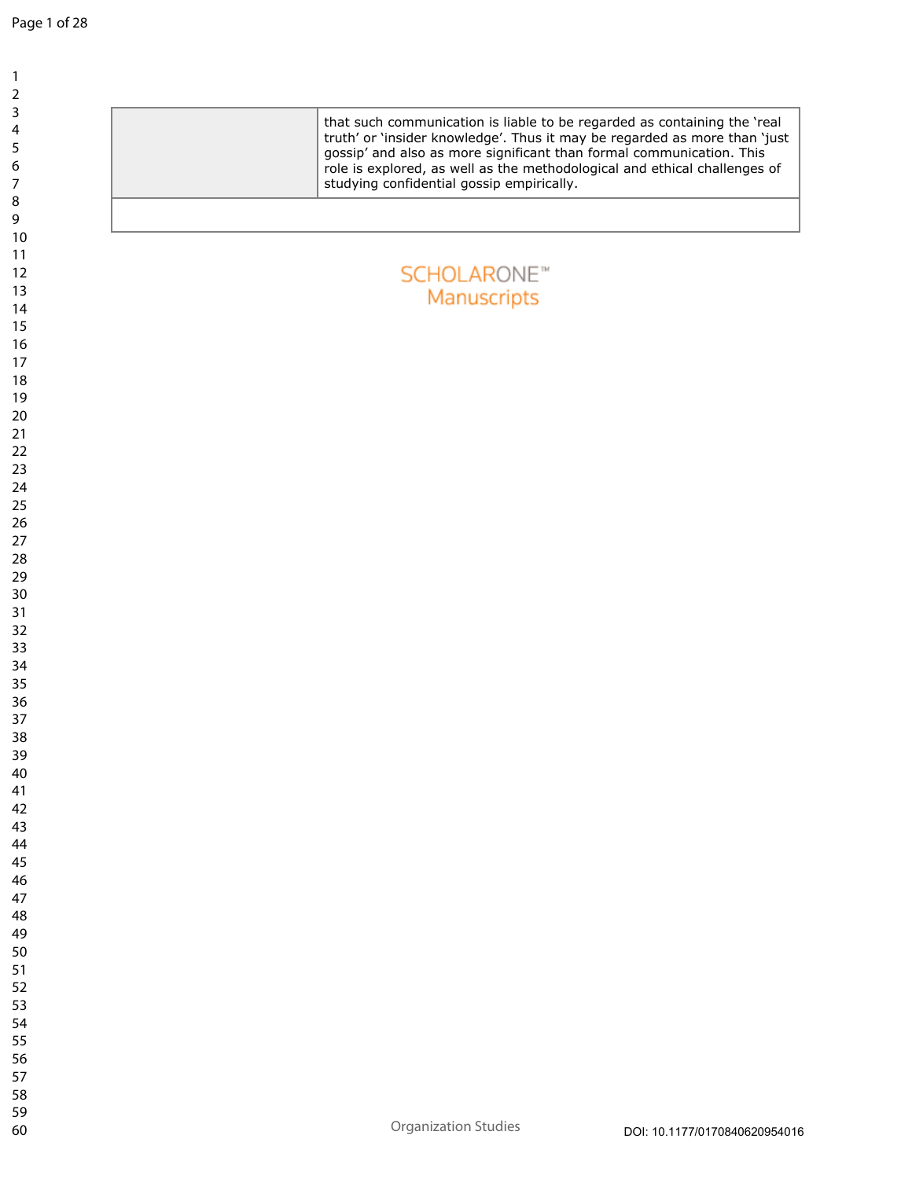| that such communication is liable to be regarded as containing the 'real<br>truth' or 'insider knowledge'. Thus it may be regarded as more than 'just<br>gossip' and also as more significant than formal communication. This<br>role is explored, as well as the methodological and ethical challenges of<br>studying confidential gossip empirically. |                               |
|---------------------------------------------------------------------------------------------------------------------------------------------------------------------------------------------------------------------------------------------------------------------------------------------------------------------------------------------------------|-------------------------------|
|                                                                                                                                                                                                                                                                                                                                                         |                               |
|                                                                                                                                                                                                                                                                                                                                                         |                               |
|                                                                                                                                                                                                                                                                                                                                                         |                               |
| <b>SCHOLARONE™</b>                                                                                                                                                                                                                                                                                                                                      |                               |
| Manuscripts                                                                                                                                                                                                                                                                                                                                             |                               |
|                                                                                                                                                                                                                                                                                                                                                         |                               |
|                                                                                                                                                                                                                                                                                                                                                         |                               |
|                                                                                                                                                                                                                                                                                                                                                         |                               |
|                                                                                                                                                                                                                                                                                                                                                         |                               |
|                                                                                                                                                                                                                                                                                                                                                         |                               |
|                                                                                                                                                                                                                                                                                                                                                         |                               |
|                                                                                                                                                                                                                                                                                                                                                         |                               |
|                                                                                                                                                                                                                                                                                                                                                         |                               |
|                                                                                                                                                                                                                                                                                                                                                         |                               |
|                                                                                                                                                                                                                                                                                                                                                         |                               |
|                                                                                                                                                                                                                                                                                                                                                         |                               |
|                                                                                                                                                                                                                                                                                                                                                         |                               |
|                                                                                                                                                                                                                                                                                                                                                         |                               |
|                                                                                                                                                                                                                                                                                                                                                         |                               |
|                                                                                                                                                                                                                                                                                                                                                         |                               |
|                                                                                                                                                                                                                                                                                                                                                         |                               |
|                                                                                                                                                                                                                                                                                                                                                         |                               |
|                                                                                                                                                                                                                                                                                                                                                         |                               |
|                                                                                                                                                                                                                                                                                                                                                         |                               |
|                                                                                                                                                                                                                                                                                                                                                         |                               |
|                                                                                                                                                                                                                                                                                                                                                         |                               |
|                                                                                                                                                                                                                                                                                                                                                         |                               |
|                                                                                                                                                                                                                                                                                                                                                         |                               |
|                                                                                                                                                                                                                                                                                                                                                         |                               |
|                                                                                                                                                                                                                                                                                                                                                         |                               |
|                                                                                                                                                                                                                                                                                                                                                         |                               |
|                                                                                                                                                                                                                                                                                                                                                         |                               |
|                                                                                                                                                                                                                                                                                                                                                         |                               |
|                                                                                                                                                                                                                                                                                                                                                         |                               |
|                                                                                                                                                                                                                                                                                                                                                         |                               |
|                                                                                                                                                                                                                                                                                                                                                         |                               |
|                                                                                                                                                                                                                                                                                                                                                         |                               |
|                                                                                                                                                                                                                                                                                                                                                         |                               |
|                                                                                                                                                                                                                                                                                                                                                         |                               |
|                                                                                                                                                                                                                                                                                                                                                         |                               |
|                                                                                                                                                                                                                                                                                                                                                         |                               |
|                                                                                                                                                                                                                                                                                                                                                         |                               |
| <b>Organization Studies</b>                                                                                                                                                                                                                                                                                                                             | DOI: 10.1177/0170840620954016 |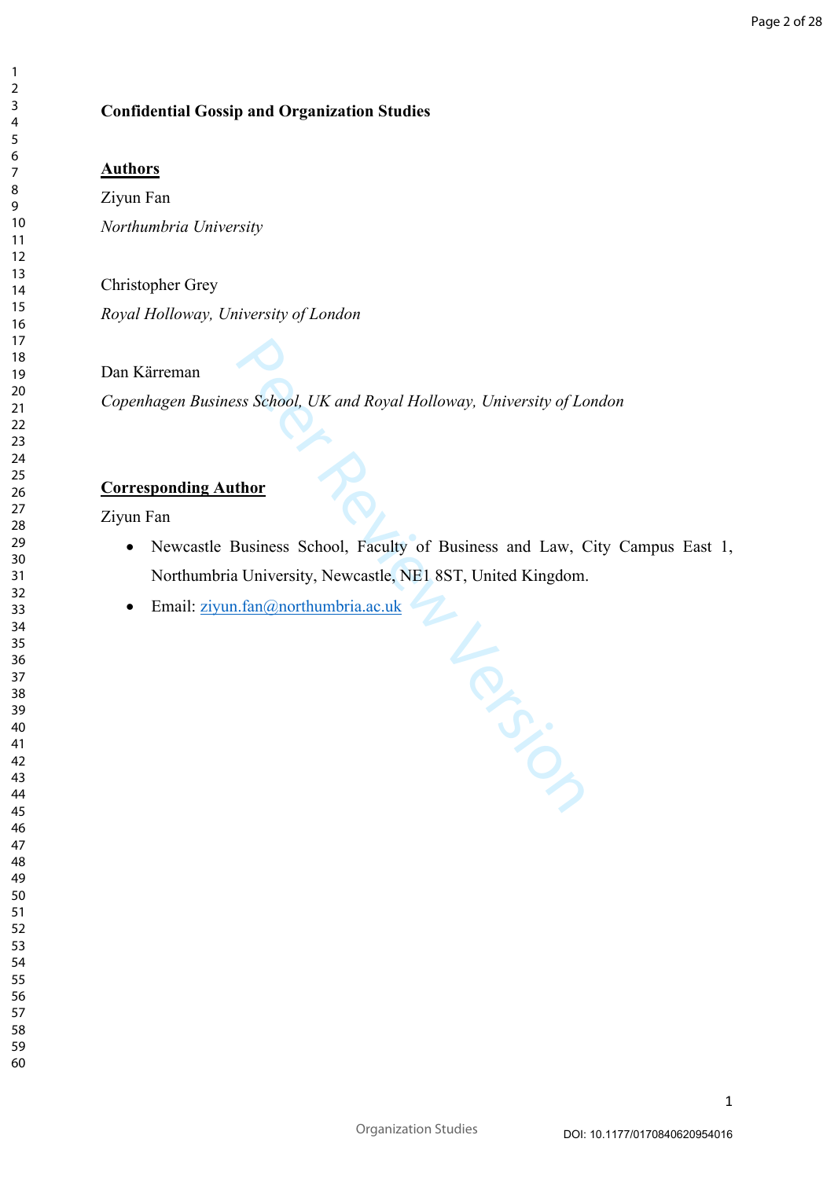# **Confidential Gossip and Organization Studies**

# **Authors**

Ziyun Fan *Northumbria University*

Christopher Grey *Royal Holloway, University of London* 

# Dan Kärreman

*Copenhagen Business School, UK and Royal Holloway, University of London*

# **Corresponding Author**

Ziyun Fan

 Newcastle Business School, Faculty of Business and Law, City Campus East 1, Northumbria University, Newcastle, NE1 8ST, United Kingdom.

La River

 $\bullet$  Email: [ziyun.fan@northumbria.ac.uk](mailto:ziyun.fan@northumbria.ac.uk)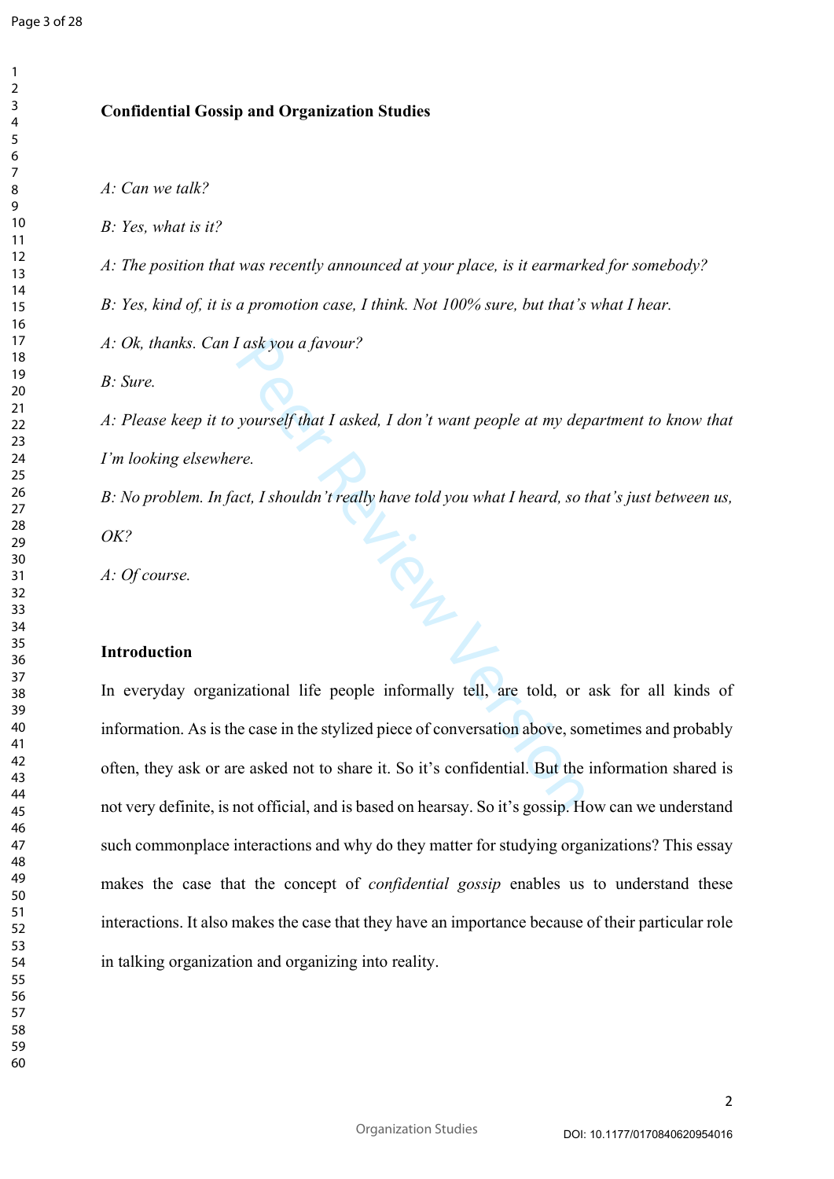$\mathbf{1}$  $\overline{2}$  $\overline{3}$  $\overline{4}$ 

# **Confidential Gossip and Organization Studies**

*A: Can we talk?*

*B: Yes, what is it?*

*A: The position that was recently announced at your place, is it earmarked for somebody?*

*B: Yes, kind of, it is a promotion case, I think. Not 100% sure, but that's what I hear.*

*A: Ok, thanks. Can I ask you a favour?*

*B: Sure.*

*A: Please keep it to yourself that I asked, I don't want people at my department to know that I'm looking elsewhere.*

Peer Review Version *B: No problem. In fact, I shouldn't really have told you what I heard, so that's just between us, OK?*

*A: Of course.*

#### **Introduction**

In everyday organizational life people informally tell, are told, or ask for all kinds of information. As is the case in the stylized piece of conversation above, sometimes and probably often, they ask or are asked not to share it. So it's confidential. But the information shared is not very definite, is not official, and is based on hearsay. So it's gossip. How can we understand such commonplace interactions and why do they matter for studying organizations? This essay makes the case that the concept of *confidential gossip* enables us to understand these interactions. It also makes the case that they have an importance because of their particular role in talking organization and organizing into reality.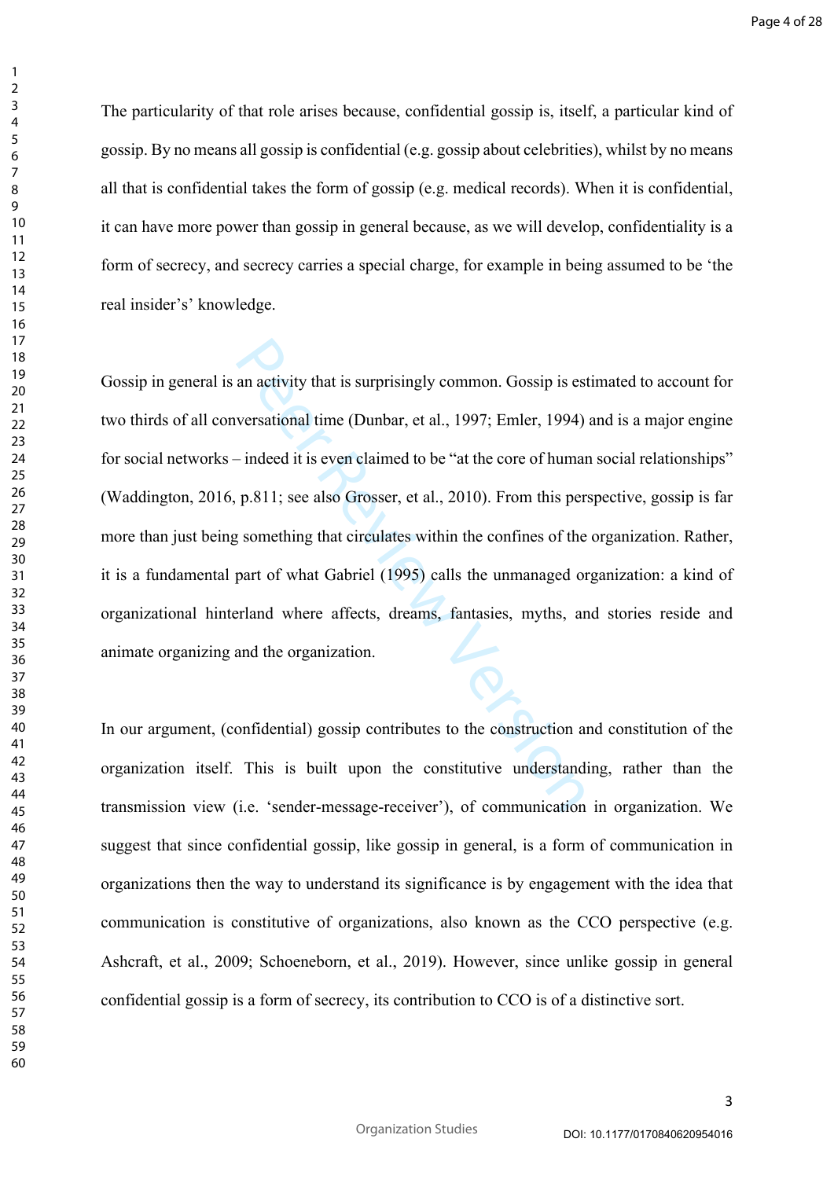The particularity of that role arises because, confidential gossip is, itself, a particular kind of gossip. By no means all gossip is confidential (e.g. gossip about celebrities), whilst by no means all that is confidential takes the form of gossip (e.g. medical records). When it is confidential, it can have more power than gossip in general because, as we will develop, confidentiality is a form of secrecy, and secrecy carries a special charge, for example in being assumed to be 'the real insider's' knowledge.

an activity that is surprisingly common. Gossip is est<br>versational time (Dunbar, et al., 1997; Emler, 1994)<br>- indeed it is even claimed to be "at the core of human<br>p.811; see also Grosser, et al., 2010). From this per<br>some Gossip in general is an activity that is surprisingly common. Gossip is estimated to account for two thirds of all conversational time (Dunbar, et al., 1997; Emler, 1994) and is a major engine for social networks – indeed it is even claimed to be "at the core of human social relationships" (Waddington, 2016, p.811; see also Grosser, et al., 2010). From this perspective, gossip is far more than just being something that circulates within the confines of the organization. Rather, it is a fundamental part of what Gabriel (1995) calls the unmanaged organization: a kind of organizational hinterland where affects, dreams, fantasies, myths, and stories reside and animate organizing and the organization.

In our argument, (confidential) gossip contributes to the construction and constitution of the organization itself. This is built upon the constitutive understanding, rather than the transmission view (i.e. 'sender-message-receiver'), of communication in organization. We suggest that since confidential gossip, like gossip in general, is a form of communication in organizations then the way to understand its significance is by engagement with the idea that communication is constitutive of organizations, also known as the CCO perspective (e.g. Ashcraft, et al., 2009; Schoeneborn, et al., 2019). However, since unlike gossip in general confidential gossip is a form of secrecy, its contribution to CCO is of a distinctive sort.

 $\mathbf{1}$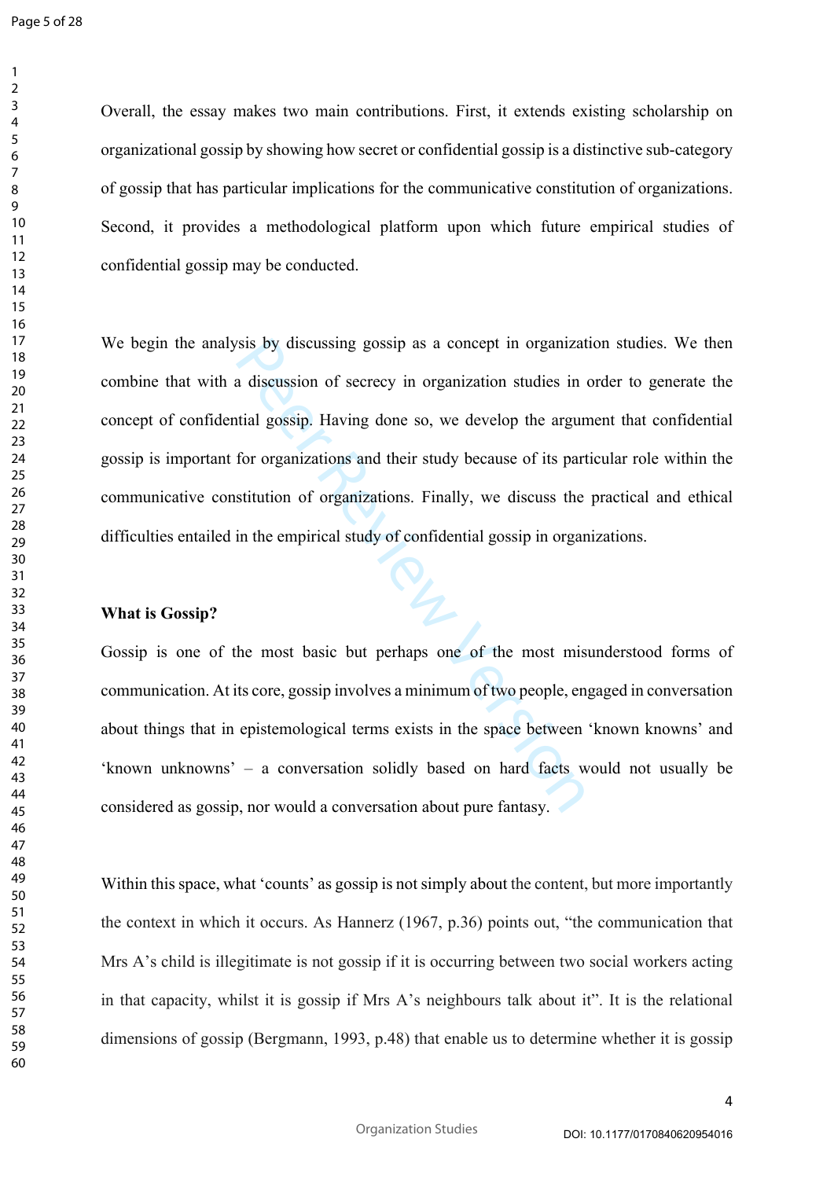Overall, the essay makes two main contributions. First, it extends existing scholarship on organizational gossip by showing how secret or confidential gossip is a distinctive sub-category of gossip that has particular implications for the communicative constitution of organizations. Second, it provides a methodological platform upon which future empirical studies of confidential gossip may be conducted.

Sis by discussing gossip as a concept in organization<br>a discussion of secrecy in organization studies in<br>tial gossip. Having done so, we develop the argun<br>for organizations and their study because of its part<br>stitution of We begin the analysis by discussing gossip as a concept in organization studies. We then combine that with a discussion of secrecy in organization studies in order to generate the concept of confidential gossip. Having done so, we develop the argument that confidential gossip is important for organizations and their study because of its particular role within the communicative constitution of organizations. Finally, we discuss the practical and ethical difficulties entailed in the empirical study of confidential gossip in organizations.

#### **What is Gossip?**

Gossip is one of the most basic but perhaps one of the most misunderstood forms of communication. At its core, gossip involves a minimum of two people, engaged in conversation about things that in epistemological terms exists in the space between 'known knowns' and 'known unknowns' – a conversation solidly based on hard facts would not usually be considered as gossip, nor would a conversation about pure fantasy.

Within this space, what 'counts' as gossip is not simply about the content, but more importantly the context in which it occurs. As Hannerz (1967, p.36) points out, "the communication that Mrs A's child is illegitimate is not gossip if it is occurring between two social workers acting in that capacity, whilst it is gossip if Mrs A's neighbours talk about it". It is the relational dimensions of gossip (Bergmann, 1993, p.48) that enable us to determine whether it is gossip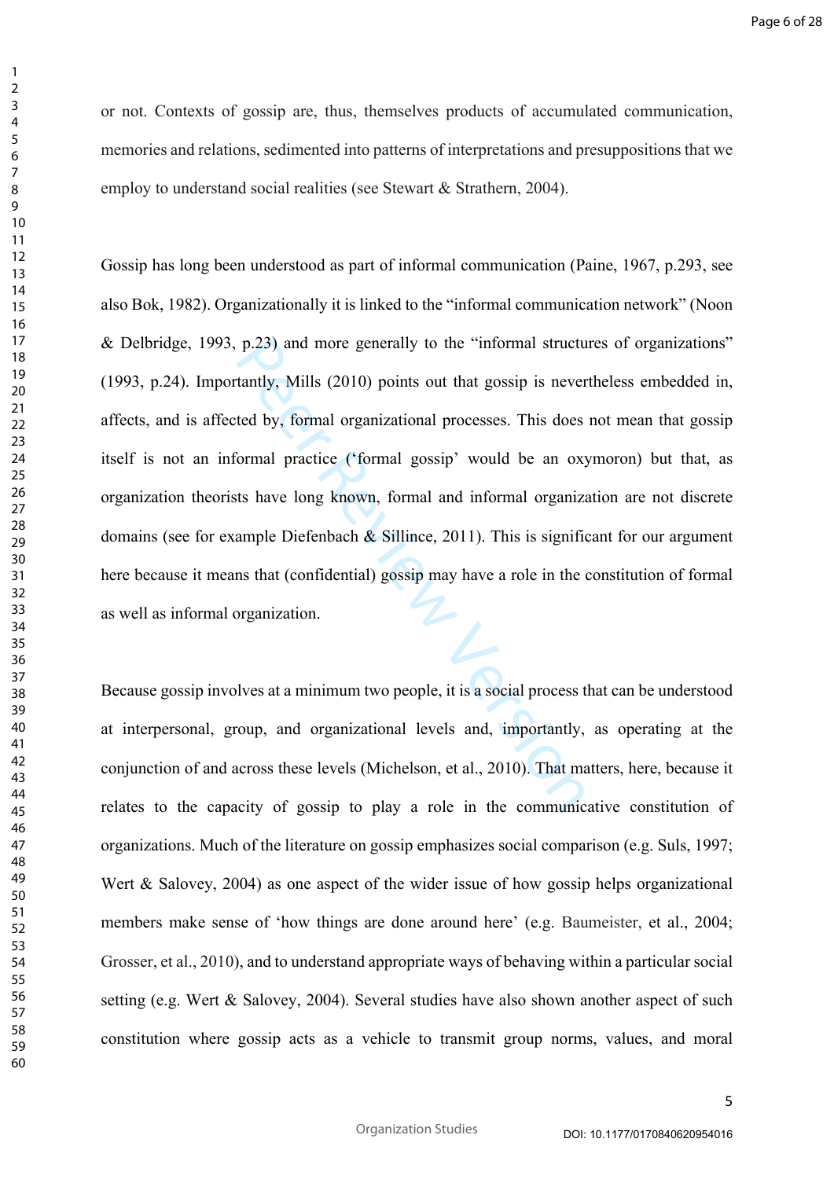or not. Contexts of gossip are, thus, themselves products of accumulated communication, memories and relations, sedimented into patterns of interpretations and presuppositions that we employ to understand social realities (see Stewart & Strathern, 2004).

 $\mathbf{1}$  $\overline{2}$  $\overline{3}$  $\overline{4}$  $\overline{7}$ 

p.23) and more generally to the "informal structure tantly, Mills (2010) points out that gossip is never ted by, formal organizational processes. This does formal practice ("formal gossip" would be an oxy that have long k Gossip has long been understood as part of informal communication (Paine, 1967, p.293, see also Bok, 1982). Organizationally it is linked to the "informal communication network" (Noon & Delbridge, 1993, p.23) and more generally to the "informal structures of organizations" (1993, p.24). Importantly, Mills (2010) points out that gossip is nevertheless embedded in, affects, and is affected by, formal organizational processes. This does not mean that gossip itself is not an informal practice ('formal gossip' would be an oxymoron) but that, as organization theorists have long known, formal and informal organization are not discrete domains (see for example Diefenbach  $\&$  Sillince, 2011). This is significant for our argument here because it means that (confidential) gossip may have a role in the constitution of formal as well as informal organization.

Because gossip involves at a minimum two people, it is a social process that can be understood at interpersonal, group, and organizational levels and, importantly, as operating at the conjunction of and across these levels (Michelson, et al., 2010). That matters, here, because it relates to the capacity of gossip to play a role in the communicative constitution of organizations. Much of the literature on gossip emphasizes social comparison (e.g. Suls, 1997; Wert & Salovey, 2004) as one aspect of the wider issue of how gossip helps organizational members make sense of 'how things are done around here' (e.g. Baumeister, et al., 2004; Grosser, et al., 2010), and to understand appropriate ways of behaving within a particular social setting (e.g. Wert & Salovey, 2004). Several studies have also shown another aspect of such constitution where gossip acts as a vehicle to transmit group norms, values, and moral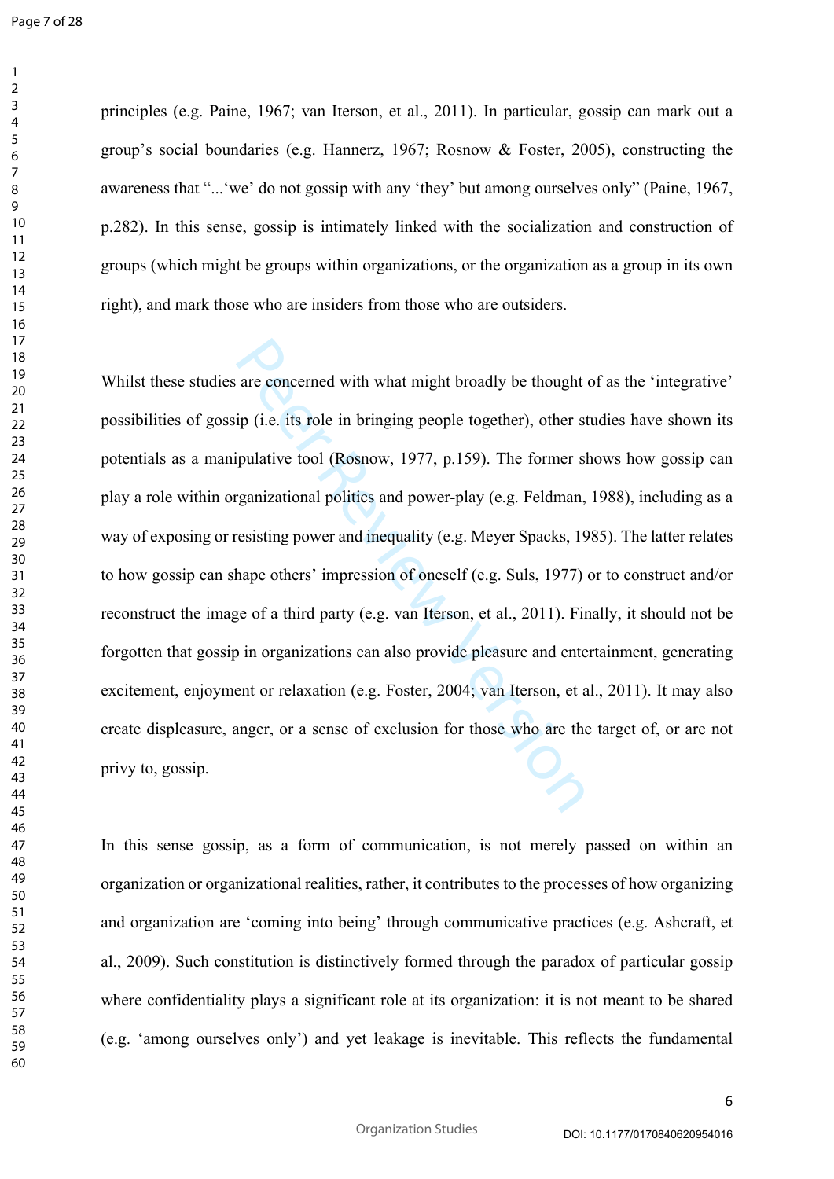principles (e.g. Paine, 1967; van Iterson, et al., 2011). In particular, gossip can mark out a group's social boundaries (e.g. Hannerz, 1967; Rosnow & Foster, 2005), constructing the awareness that "...'we' do not gossip with any 'they' but among ourselves only" (Paine, 1967, p.282). In this sense, gossip is intimately linked with the socialization and construction of groups (which might be groups within organizations, or the organization as a group in its own right), and mark those who are insiders from those who are outsiders.

are concerned with what might broadly be thought<br>ip (i.e. its role in bringing people together), other st<br>ipulative tool (Rosnow, 1977, p.159). The former sl<br>ganizational politics and power-play (e.g. Feldman,<br>resisting po Whilst these studies are concerned with what might broadly be thought of as the 'integrative' possibilities of gossip (i.e. its role in bringing people together), other studies have shown its potentials as a manipulative tool (Rosnow, 1977, p.159). The former shows how gossip can play a role within organizational politics and power-play (e.g. Feldman, 1988), including as a way of exposing or resisting power and inequality (e.g. Meyer Spacks, 1985). The latter relates to how gossip can shape others' impression of oneself (e.g. Suls, 1977) or to construct and/or reconstruct the image of a third party (e.g. van Iterson, et al., 2011). Finally, it should not be forgotten that gossip in organizations can also provide pleasure and entertainment, generating excitement, enjoyment or relaxation (e.g. Foster, 2004; van Iterson, et al., 2011). It may also create displeasure, anger, or a sense of exclusion for those who are the target of, or are not privy to, gossip.

In this sense gossip, as a form of communication, is not merely passed on within an organization or organizational realities, rather, it contributes to the processes of how organizing and organization are 'coming into being' through communicative practices (e.g. Ashcraft, et al., 2009). Such constitution is distinctively formed through the paradox of particular gossip where confidentiality plays a significant role at its organization: it is not meant to be shared (e.g. 'among ourselves only') and yet leakage is inevitable. This reflects the fundamental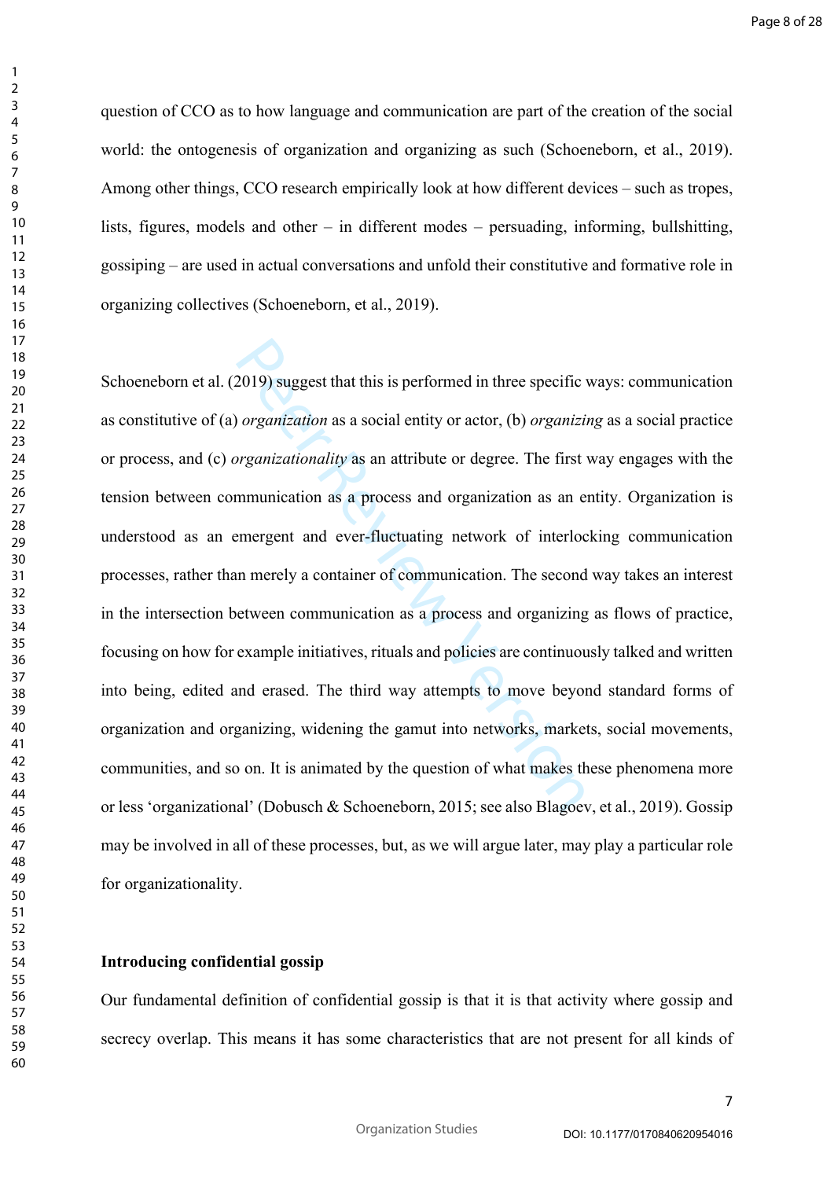$\mathbf{1}$  $\overline{2}$ 

question of CCO as to how language and communication are part of the creation of the social world: the ontogenesis of organization and organizing as such (Schoeneborn, et al., 2019). Among other things, CCO research empirically look at how different devices – such as tropes, lists, figures, models and other – in different modes – persuading, informing, bullshitting, gossiping – are used in actual conversations and unfold their constitutive and formative role in organizing collectives (Schoeneborn, et al., 2019).

2019) suggest that this is performed in three specific<br>organization as a social entity or actor, (b) organizion<br>organizationality as an attribute or degree. The first<br>mmunication as a process and organization as an e<br>emer Schoeneborn et al. (2019) suggest that this is performed in three specific ways: communication as constitutive of (a) *organization* as a social entity or actor, (b) *organizing* as a social practice or process, and (c) *organizationality* as an attribute or degree. The first way engages with the tension between communication as a process and organization as an entity. Organization is understood as an emergent and ever-fluctuating network of interlocking communication processes, rather than merely a container of communication. The second way takes an interest in the intersection between communication as a process and organizing as flows of practice, focusing on how for example initiatives, rituals and policies are continuously talked and written into being, edited and erased. The third way attempts to move beyond standard forms of organization and organizing, widening the gamut into networks, markets, social movements, communities, and so on. It is animated by the question of what makes these phenomena more or less 'organizational' (Dobusch & Schoeneborn, 2015; see also Blagoev, et al., 2019). Gossip may be involved in all of these processes, but, as we will argue later, may play a particular role for organizationality.

# **Introducing confidential gossip**

Our fundamental definition of confidential gossip is that it is that activity where gossip and secrecy overlap. This means it has some characteristics that are not present for all kinds of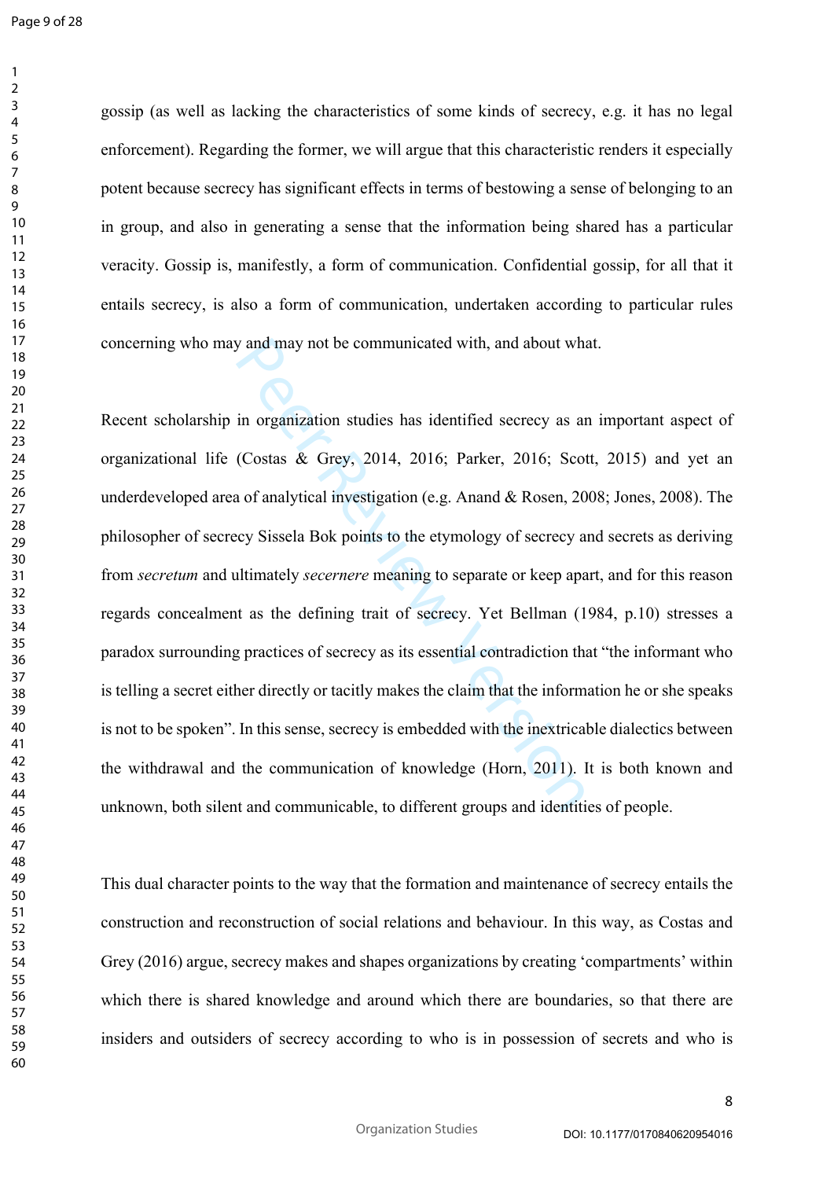Page 9 of 28

 $\mathbf{1}$  $\overline{2}$  $\overline{3}$  $\overline{4}$  $\overline{7}$ 

gossip (as well as lacking the characteristics of some kinds of secrecy, e.g. it has no legal enforcement). Regarding the former, we will argue that this characteristic renders it especially potent because secrecy has significant effects in terms of bestowing a sense of belonging to an in group, and also in generating a sense that the information being shared has a particular veracity. Gossip is, manifestly, a form of communication. Confidential gossip, for all that it entails secrecy, is also a form of communication, undertaken according to particular rules concerning who may and may not be communicated with, and about what.

by and may not be communicated with, and about what<br>in organization studies has identified secrecy as an<br>(Costas & Grey, 2014, 2016; Parker, 2016; Scot<br>a of analytical investigation (e.g. Anand & Rosen, 20<br>ecy Sissela Bok Recent scholarship in organization studies has identified secrecy as an important aspect of organizational life (Costas & Grey, 2014, 2016; Parker, 2016; Scott, 2015) and yet an underdeveloped area of analytical investigation (e.g. Anand & Rosen, 2008; Jones, 2008). The philosopher of secrecy Sissela Bok points to the etymology of secrecy and secrets as deriving from *secretum* and ultimately *secernere* meaning to separate or keep apart, and for this reason regards concealment as the defining trait of secrecy. Yet Bellman (1984, p.10) stresses a paradox surrounding practices of secrecy as its essential contradiction that "the informant who is telling a secret either directly or tacitly makes the claim that the information he or she speaks is not to be spoken". In this sense, secrecy is embedded with the inextricable dialectics between the withdrawal and the communication of knowledge (Horn, 2011). It is both known and unknown, both silent and communicable, to different groups and identities of people.

This dual character points to the way that the formation and maintenance of secrecy entails the construction and reconstruction of social relations and behaviour. In this way, as Costas and Grey (2016) argue, secrecy makes and shapes organizations by creating 'compartments' within which there is shared knowledge and around which there are boundaries, so that there are insiders and outsiders of secrecy according to who is in possession of secrets and who is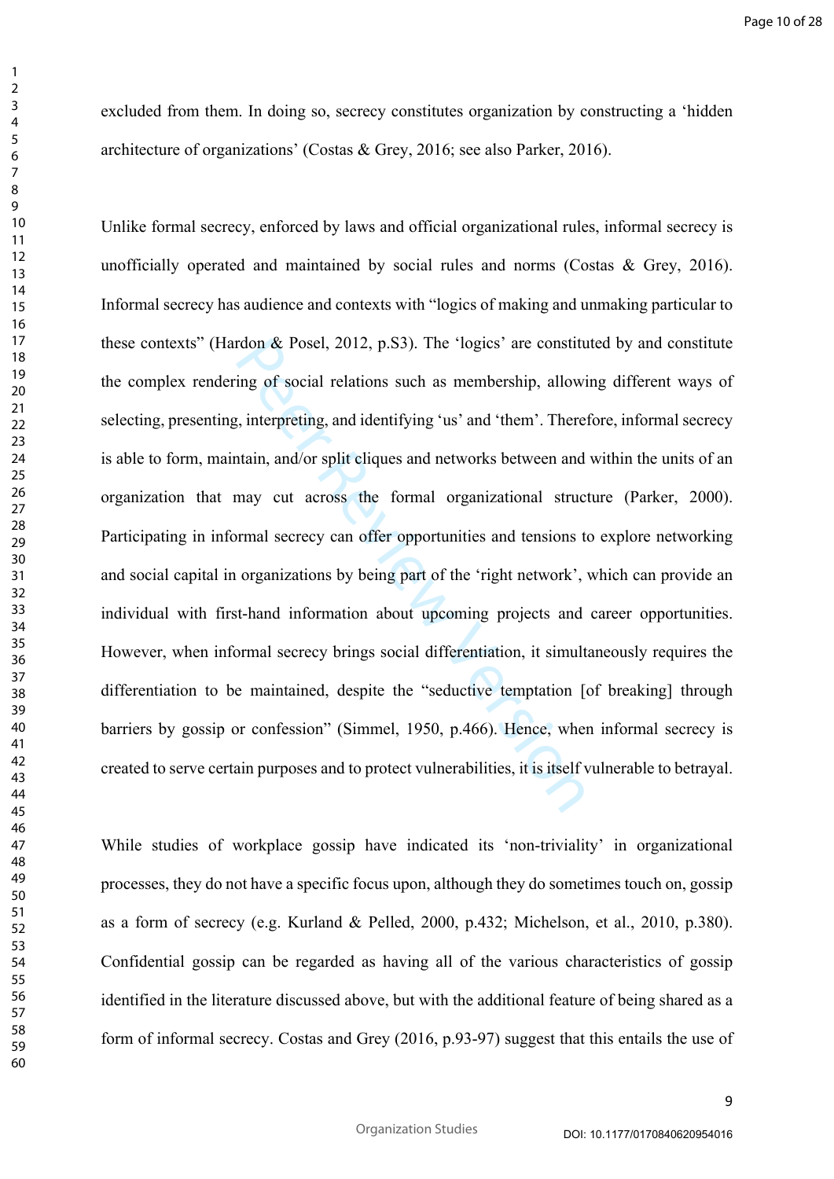excluded from them. In doing so, secrecy constitutes organization by constructing a 'hidden architecture of organizations' (Costas & Grey, 2016; see also Parker, 2016).

rdon & Posel, 2012, p.S3). The 'logics' are constituting of social relations such as membership, allowity, interpreting, and identifying 'us' and 'them'. There train, and/or split cliques and networks between and may cut a Unlike formal secrecy, enforced by laws and official organizational rules, informal secrecy is unofficially operated and maintained by social rules and norms (Costas & Grey, 2016). Informal secrecy has audience and contexts with "logics of making and unmaking particular to these contexts" (Hardon & Posel, 2012, p.S3). The 'logics' are constituted by and constitute the complex rendering of social relations such as membership, allowing different ways of selecting, presenting, interpreting, and identifying 'us' and 'them'. Therefore, informal secrecy is able to form, maintain, and/or split cliques and networks between and within the units of an organization that may cut across the formal organizational structure (Parker, 2000). Participating in informal secrecy can offer opportunities and tensions to explore networking and social capital in organizations by being part of the 'right network', which can provide an individual with first-hand information about upcoming projects and career opportunities. However, when informal secrecy brings social differentiation, it simultaneously requires the differentiation to be maintained, despite the "seductive temptation [of breaking] through barriers by gossip or confession" (Simmel, 1950, p.466). Hence, when informal secrecy is created to serve certain purposes and to protect vulnerabilities, it is itself vulnerable to betrayal.

While studies of workplace gossip have indicated its 'non-triviality' in organizational processes, they do not have a specific focus upon, although they do sometimes touch on, gossip as a form of secrecy (e.g. Kurland & Pelled, 2000, p.432; Michelson, et al., 2010, p.380). Confidential gossip can be regarded as having all of the various characteristics of gossip identified in the literature discussed above, but with the additional feature of being shared as a form of informal secrecy. Costas and Grey (2016, p.93-97) suggest that this entails the use of

 $\mathbf{1}$  $\overline{2}$  $\overline{3}$  $\overline{4}$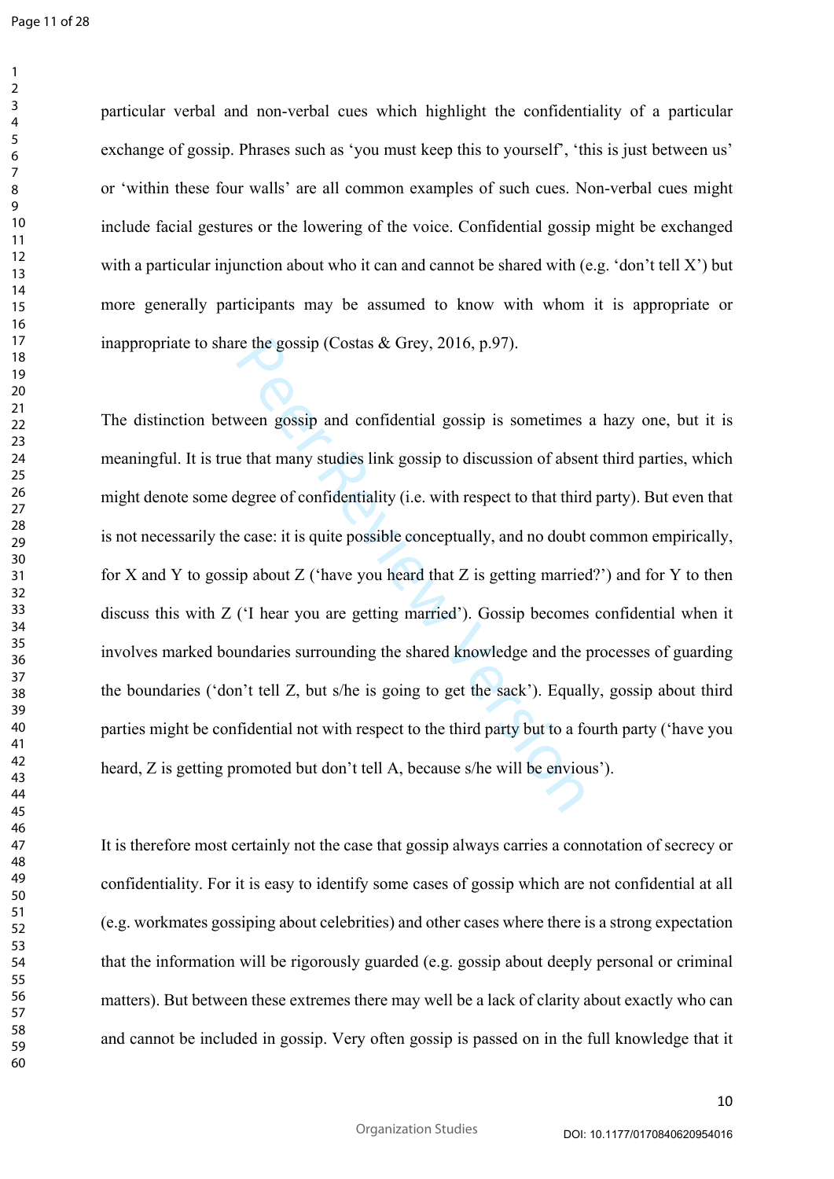Page 11 of 28

 $\mathbf{1}$  $\overline{2}$  $\overline{3}$  $\overline{4}$ 

particular verbal and non-verbal cues which highlight the confidentiality of a particular exchange of gossip. Phrases such as 'you must keep this to yourself', 'this is just between us' or 'within these four walls' are all common examples of such cues. Non-verbal cues might include facial gestures or the lowering of the voice. Confidential gossip might be exchanged with a particular injunction about who it can and cannot be shared with (e.g. 'don't tell X') but more generally participants may be assumed to know with whom it is appropriate or inappropriate to share the gossip (Costas & Grey, 2016, p.97).

re the gossip (Costas & Grey, 2016, p.97).<br>
ween gossip and confidential gossip is sometimes<br>
e that many studies link gossip to discussion of abset<br>
degree of confidentiality (i.e. with respect to that third<br>
e case: it i The distinction between gossip and confidential gossip is sometimes a hazy one, but it is meaningful. It is true that many studies link gossip to discussion of absent third parties, which might denote some degree of confidentiality (i.e. with respect to that third party). But even that is not necessarily the case: it is quite possible conceptually, and no doubt common empirically, for X and Y to gossip about Z ('have you heard that Z is getting married?') and for Y to then discuss this with Z ('I hear you are getting married'). Gossip becomes confidential when it involves marked boundaries surrounding the shared knowledge and the processes of guarding the boundaries ('don't tell Z, but s/he is going to get the sack'). Equally, gossip about third parties might be confidential not with respect to the third party but to a fourth party ('have you heard, Z is getting promoted but don't tell A, because s/he will be envious').

It is therefore most certainly not the case that gossip always carries a connotation of secrecy or confidentiality. For it is easy to identify some cases of gossip which are not confidential at all (e.g. workmates gossiping about celebrities) and other cases where there is a strong expectation that the information will be rigorously guarded (e.g. gossip about deeply personal or criminal matters). But between these extremes there may well be a lack of clarity about exactly who can and cannot be included in gossip. Very often gossip is passed on in the full knowledge that it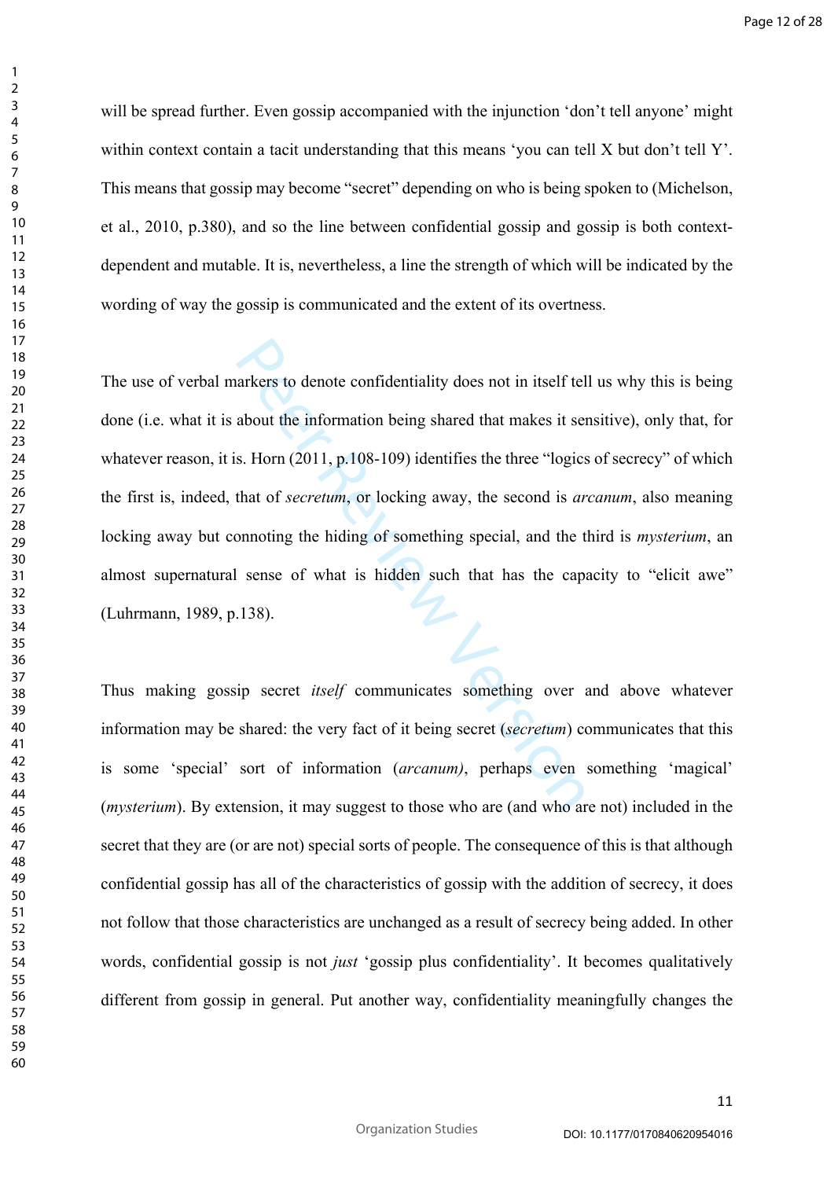will be spread further. Even gossip accompanied with the injunction 'don't tell anyone' might within context contain a tacit understanding that this means 'you can tell X but don't tell Y'. This means that gossip may become "secret" depending on who is being spoken to (Michelson, et al., 2010, p.380), and so the line between confidential gossip and gossip is both contextdependent and mutable. It is, nevertheless, a line the strength of which will be indicated by the wording of way the gossip is communicated and the extent of its overtness.

arkers to denote confidentiality does not in itself tel<br>about the information being shared that makes it set<br>s. Horn (2011, p.108-109) identifies the three "logics<br>that of *secretum*, or locking away, the second is *ar*<br>on The use of verbal markers to denote confidentiality does not in itself tell us why this is being done (i.e. what it is about the information being shared that makes it sensitive), only that, for whatever reason, it is. Horn (2011, p.108-109) identifies the three "logics of secrecy" of which the first is, indeed, that of *secretum*, or locking away, the second is *arcanum*, also meaning locking away but connoting the hiding of something special, and the third is *mysterium*, an almost supernatural sense of what is hidden such that has the capacity to "elicit awe" (Luhrmann, 1989, p.138).

Thus making gossip secret *itself* communicates something over and above whatever information may be shared: the very fact of it being secret (*secretum*) communicates that this is some 'special' sort of information (*arcanum)*, perhaps even something 'magical' (*mysterium*). By extension, it may suggest to those who are (and who are not) included in the secret that they are (or are not) special sorts of people. The consequence of this is that although confidential gossip has all of the characteristics of gossip with the addition of secrecy, it does not follow that those characteristics are unchanged as a result of secrecy being added. In other words, confidential gossip is not *just* 'gossip plus confidentiality'. It becomes qualitatively different from gossip in general. Put another way, confidentiality meaningfully changes the

 $\mathbf{1}$  $\overline{2}$  $\overline{3}$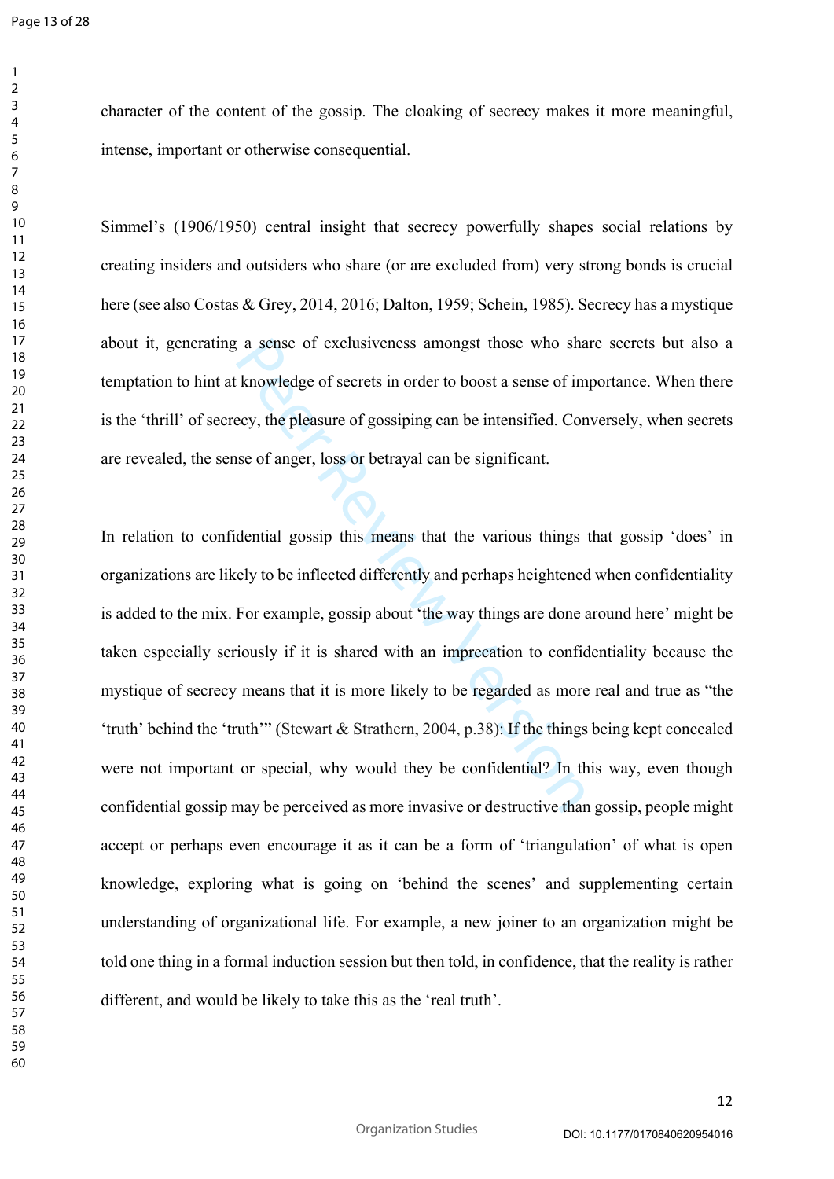$\mathbf{1}$  $\overline{2}$  $\overline{3}$  $\overline{4}$  $\overline{7}$ 

Simmel's (1906/1950) central insight that secrecy powerfully shapes social relations by creating insiders and outsiders who share (or are excluded from) very strong bonds is crucial here (see also Costas & Grey, 2014, 2016; Dalton, 1959; Schein, 1985). Secrecy has a mystique about it, generating a sense of exclusiveness amongst those who share secrets but also a temptation to hint at knowledge of secrets in order to boost a sense of importance. When there is the 'thrill' of secrecy, the pleasure of gossiping can be intensified. Conversely, when secrets are revealed, the sense of anger, loss or betrayal can be significant.

a sense of exclusiveness amongst those who shat knowledge of secrets in order to boost a sense of im ecy, the pleasure of gossiping can be intensified. Con use of anger, loss or betrayal can be significant.<br>
dential gossip In relation to confidential gossip this means that the various things that gossip 'does' in organizations are likely to be inflected differently and perhaps heightened when confidentiality is added to the mix. For example, gossip about 'the way things are done around here' might be taken especially seriously if it is shared with an imprecation to confidentiality because the mystique of secrecy means that it is more likely to be regarded as more real and true as "the 'truth' behind the 'truth'" (Stewart & Strathern, 2004, p.38): If the things being kept concealed were not important or special, why would they be confidential? In this way, even though confidential gossip may be perceived as more invasive or destructive than gossip, people might accept or perhaps even encourage it as it can be a form of 'triangulation' of what is open knowledge, exploring what is going on 'behind the scenes' and supplementing certain understanding of organizational life. For example, a new joiner to an organization might be told one thing in a formal induction session but then told, in confidence, that the reality is rather different, and would be likely to take this as the 'real truth'.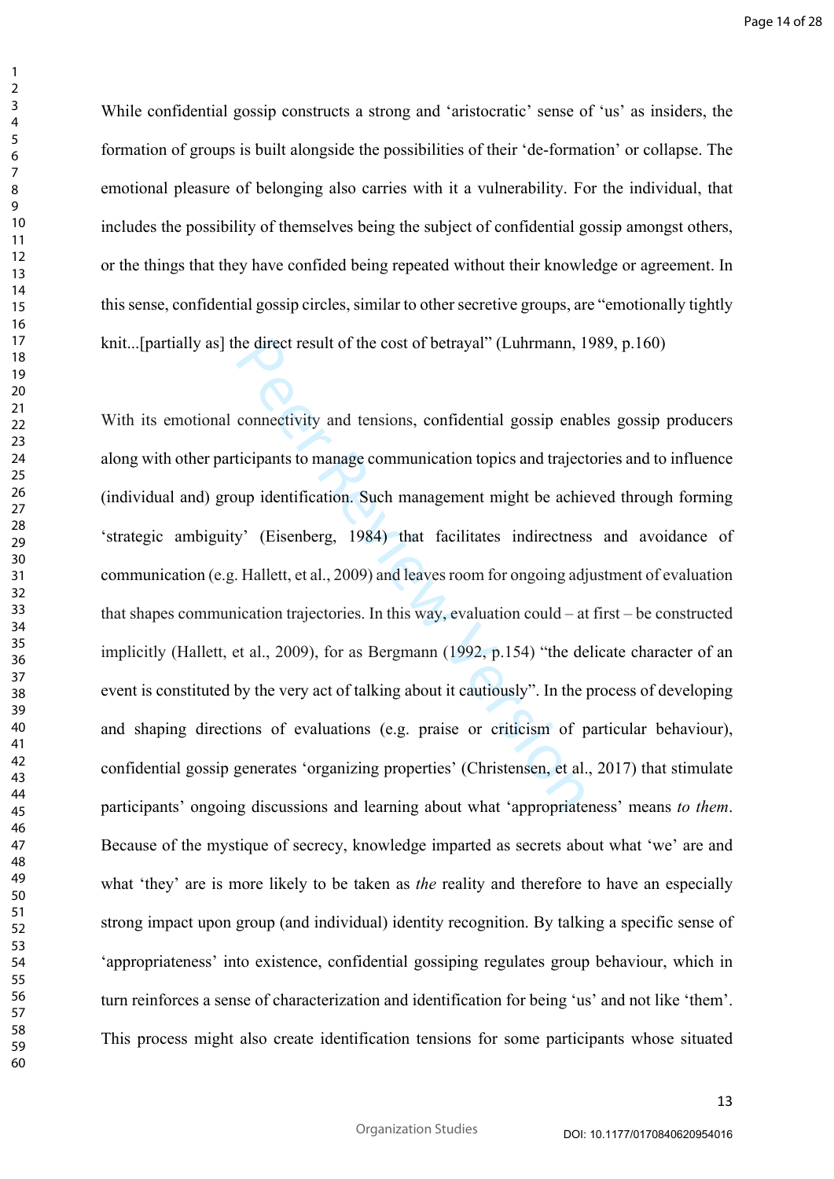While confidential gossip constructs a strong and 'aristocratic' sense of 'us' as insiders, the formation of groups is built alongside the possibilities of their 'de-formation' or collapse. The emotional pleasure of belonging also carries with it a vulnerability. For the individual, that includes the possibility of themselves being the subject of confidential gossip amongst others, or the things that they have confided being repeated without their knowledge or agreement. In this sense, confidential gossip circles, similar to other secretive groups, are "emotionally tightly knit...[partially as] the direct result of the cost of betrayal" (Luhrmann, 1989, p.160)

he direct result of the cost of betrayal" (Luhrmann, 1<br>connectivity and tensions, confidential gossip enabricipants to manage communication topics and traject<br>ticipants to manage communication topics and traject<br>up identif With its emotional connectivity and tensions, confidential gossip enables gossip producers along with other participants to manage communication topics and trajectories and to influence (individual and) group identification. Such management might be achieved through forming 'strategic ambiguity' (Eisenberg, 1984) that facilitates indirectness and avoidance of communication (e.g. Hallett, et al., 2009) and leaves room for ongoing adjustment of evaluation that shapes communication trajectories. In this way, evaluation could – at first – be constructed implicitly (Hallett, et al., 2009), for as Bergmann (1992, p.154) "the delicate character of an event is constituted by the very act of talking about it cautiously". In the process of developing and shaping directions of evaluations (e.g. praise or criticism of particular behaviour), confidential gossip generates 'organizing properties' (Christensen, et al., 2017) that stimulate participants' ongoing discussions and learning about what 'appropriateness' means *to them*. Because of the mystique of secrecy, knowledge imparted as secrets about what 'we' are and what 'they' are is more likely to be taken as *the* reality and therefore to have an especially strong impact upon group (and individual) identity recognition. By talking a specific sense of 'appropriateness' into existence, confidential gossiping regulates group behaviour, which in turn reinforces a sense of characterization and identification for being 'us' and not like 'them'. This process might also create identification tensions for some participants whose situated

 $\mathbf{1}$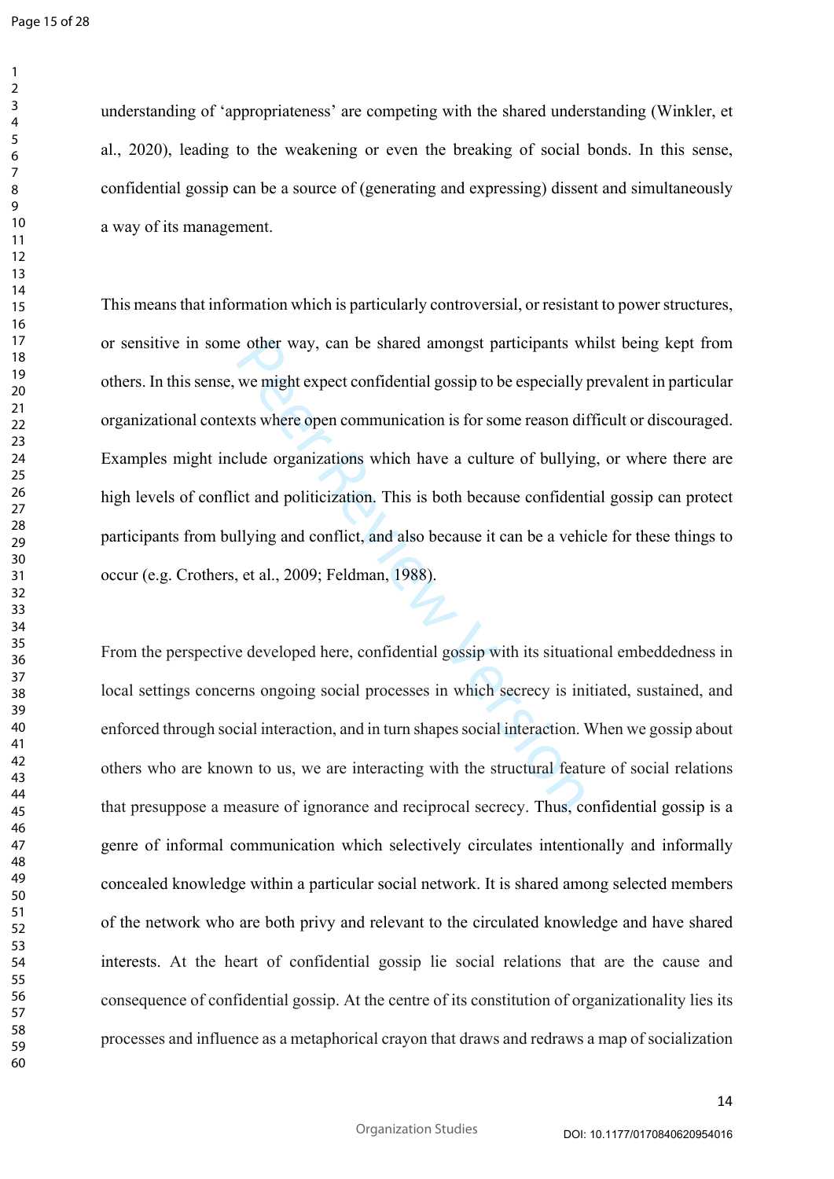understanding of 'appropriateness' are competing with the shared understanding (Winkler, et al., 2020), leading to the weakening or even the breaking of social bonds. In this sense, confidential gossip can be a source of (generating and expressing) dissent and simultaneously a way of its management.

e other way, can be shared amongst participants w<br>we might expect confidential gossip to be especially<br>xts where open communication is for some reason di<br>clude organizations which have a culture of bullyin<br>ict and politici This means that information which is particularly controversial, or resistant to power structures, or sensitive in some other way, can be shared amongst participants whilst being kept from others. In this sense, we might expect confidential gossip to be especially prevalent in particular organizational contexts where open communication is for some reason difficult or discouraged. Examples might include organizations which have a culture of bullying, or where there are high levels of conflict and politicization. This is both because confidential gossip can protect participants from bullying and conflict, and also because it can be a vehicle for these things to occur (e.g. Crothers, et al., 2009; Feldman, 1988).

From the perspective developed here, confidential gossip with its situational embeddedness in local settings concerns ongoing social processes in which secrecy is initiated, sustained, and enforced through social interaction, and in turn shapes social interaction. When we gossip about others who are known to us, we are interacting with the structural feature of social relations that presuppose a measure of ignorance and reciprocal secrecy. Thus, confidential gossip is a genre of informal communication which selectively circulates intentionally and informally concealed knowledge within a particular social network. It is shared among selected members of the network who are both privy and relevant to the circulated knowledge and have shared interests. At the heart of confidential gossip lie social relations that are the cause and consequence of confidential gossip. At the centre of its constitution of organizationality lies its processes and influence as a metaphorical crayon that draws and redraws a map of socialization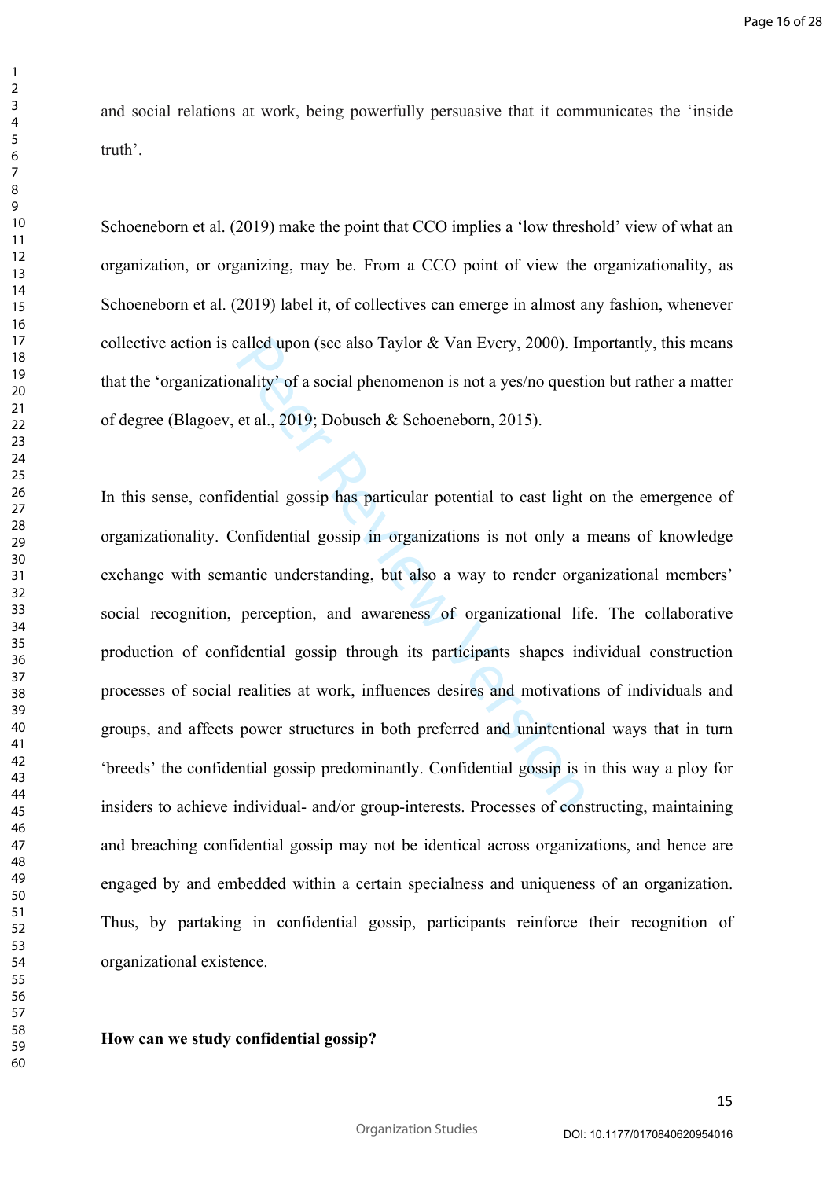and social relations at work, being powerfully persuasive that it communicates the 'inside truth'.

Schoeneborn et al. (2019) make the point that CCO implies a 'low threshold' view of what an organization, or organizing, may be. From a CCO point of view the organizationality, as Schoeneborn et al. (2019) label it, of collectives can emerge in almost any fashion, whenever collective action is called upon (see also Taylor & Van Every, 2000). Importantly, this means that the 'organizationality' of a social phenomenon is not a yes/no question but rather a matter of degree (Blagoev, et al., 2019; Dobusch & Schoeneborn, 2015).

called upon (see also Taylor & Van Every, 2000). In<br>nality' of a social phenomenon is not a yes/no questi<br>et al., 2019; Dobusch & Schoeneborn, 2015).<br>dential gossip has particular potential to cast light<br>'onfidential gossi In this sense, confidential gossip has particular potential to cast light on the emergence of organizationality. Confidential gossip in organizations is not only a means of knowledge exchange with semantic understanding, but also a way to render organizational members' social recognition, perception, and awareness of organizational life. The collaborative production of confidential gossip through its participants shapes individual construction processes of social realities at work, influences desires and motivations of individuals and groups, and affects power structures in both preferred and unintentional ways that in turn 'breeds' the confidential gossip predominantly. Confidential gossip is in this way a ploy for insiders to achieve individual- and/or group-interests. Processes of constructing, maintaining and breaching confidential gossip may not be identical across organizations, and hence are engaged by and embedded within a certain specialness and uniqueness of an organization. Thus, by partaking in confidential gossip, participants reinforce their recognition of organizational existence.

# **How can we study confidential gossip?**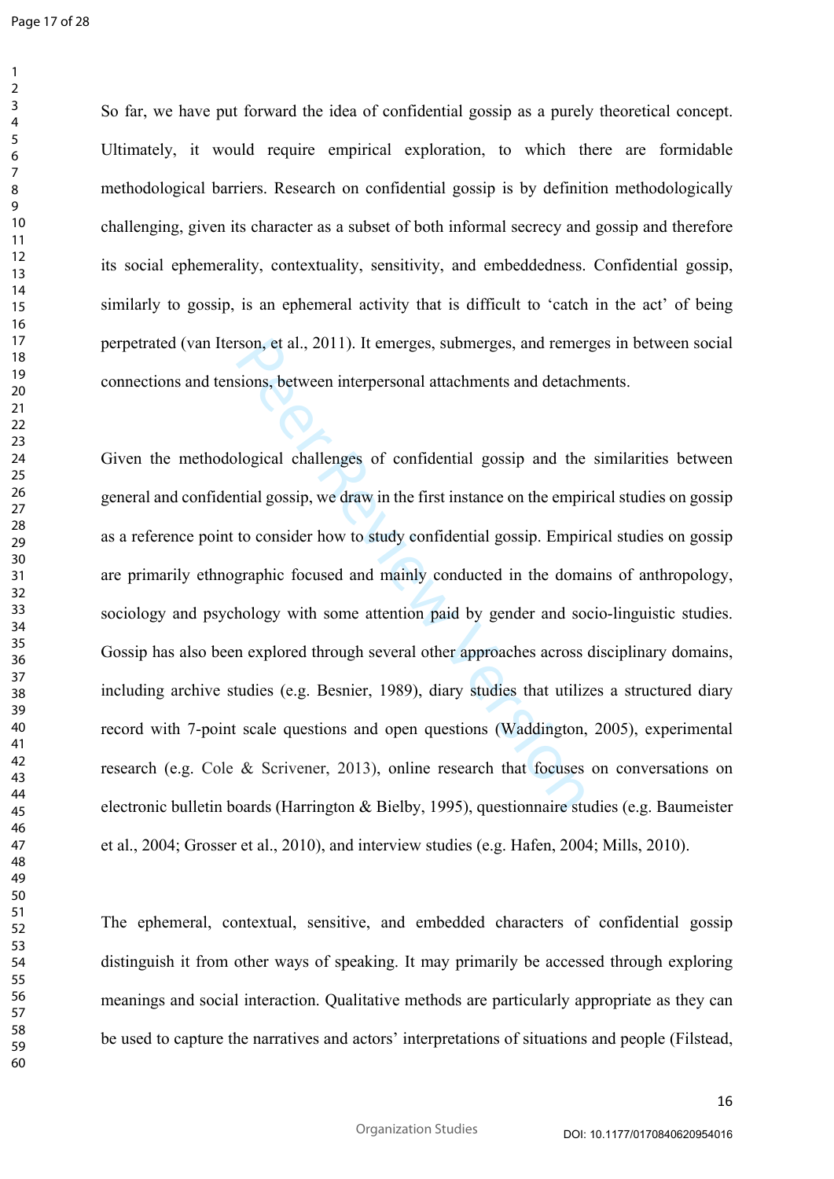Page 17 of 28

 $\mathbf{1}$  $\overline{2}$  $\overline{3}$  $\overline{4}$  $\overline{7}$ 

So far, we have put forward the idea of confidential gossip as a purely theoretical concept. Ultimately, it would require empirical exploration, to which there are formidable methodological barriers. Research on confidential gossip is by definition methodologically challenging, given its character as a subset of both informal secrecy and gossip and therefore its social ephemerality, contextuality, sensitivity, and embeddedness. Confidential gossip, similarly to gossip, is an ephemeral activity that is difficult to 'catch in the act' of being perpetrated (van Iterson, et al., 2011). It emerges, submerges, and remerges in between social connections and tensions, between interpersonal attachments and detachments.

rson, et al., 2011). It emerges, submerges, and remer<br>sions, between interpersonal attachments and detach<br>blogical challenges of confidential gossip and the<br>tial gossip, we draw in the first instance on the empit<br>to consid Given the methodological challenges of confidential gossip and the similarities between general and confidential gossip, we draw in the first instance on the empirical studies on gossip as a reference point to consider how to study confidential gossip. Empirical studies on gossip are primarily ethnographic focused and mainly conducted in the domains of anthropology, sociology and psychology with some attention paid by gender and socio-linguistic studies. Gossip has also been explored through several other approaches across disciplinary domains, including archive studies (e.g. Besnier, 1989), diary studies that utilizes a structured diary record with 7-point scale questions and open questions (Waddington, 2005), experimental research (e.g. Cole & Scrivener, 2013), online research that focuses on conversations on electronic bulletin boards (Harrington & Bielby, 1995), questionnaire studies (e.g. Baumeister et al., 2004; Grosser et al., 2010), and interview studies (e.g. Hafen, 2004; Mills, 2010).

The ephemeral, contextual, sensitive, and embedded characters of confidential gossip distinguish it from other ways of speaking. It may primarily be accessed through exploring meanings and social interaction. Qualitative methods are particularly appropriate as they can be used to capture the narratives and actors' interpretations of situations and people (Filstead,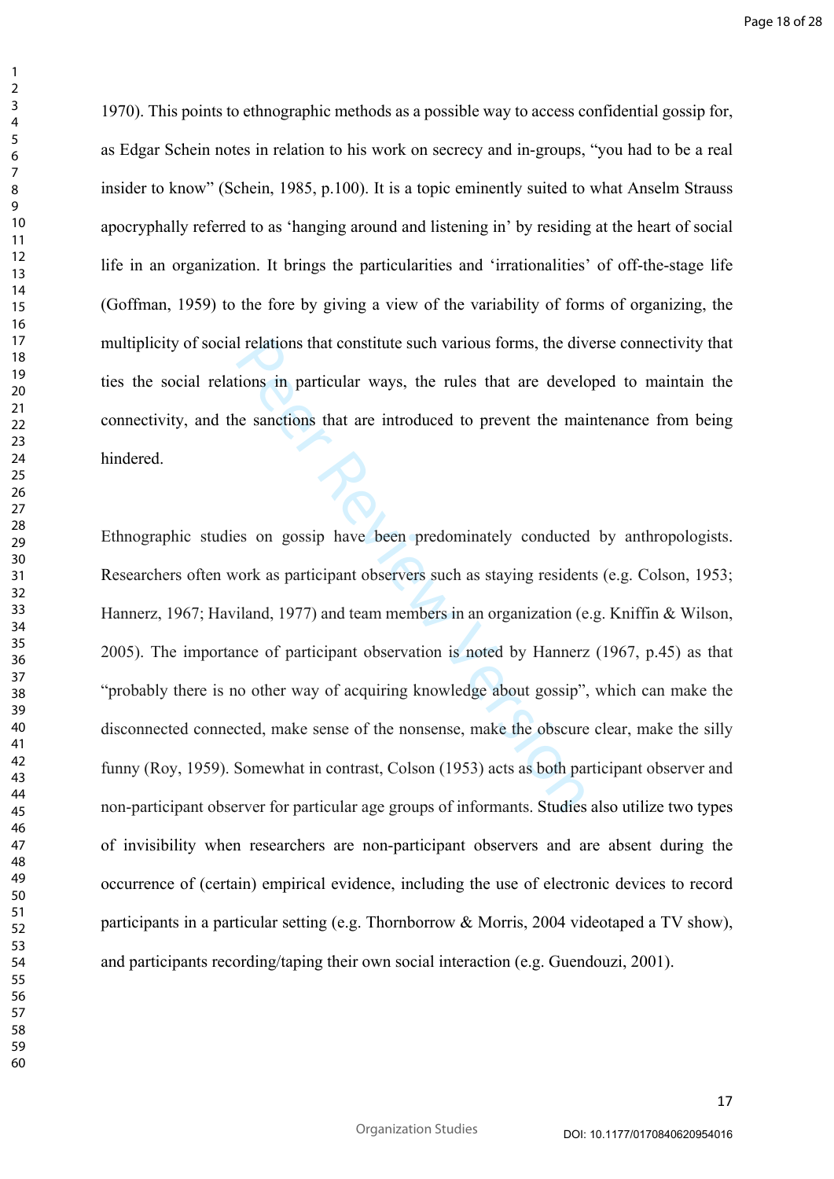1970). This points to ethnographic methods as a possible way to access confidential gossip for, as Edgar Schein notes in relation to his work on secrecy and in-groups, "you had to be a real insider to know" (Schein, 1985, p.100). It is a topic eminently suited to what Anselm Strauss apocryphally referred to as 'hanging around and listening in' by residing at the heart of social life in an organization. It brings the particularities and 'irrationalities' of off-the-stage life (Goffman, 1959) to the fore by giving a view of the variability of forms of organizing, the multiplicity of social relations that constitute such various forms, the diverse connectivity that ties the social relations in particular ways, the rules that are developed to maintain the connectivity, and the sanctions that are introduced to prevent the maintenance from being hindered.

I relations that constitute such various forms, the divideos in particular ways, the rules that are develoses and the sanctions that are introduced to prevent the main and sanctions that are introduced to prevent the main Ethnographic studies on gossip have been predominately conducted by anthropologists. Researchers often work as participant observers such as staying residents (e.g. Colson, 1953; Hannerz, 1967; Haviland, 1977) and team members in an organization (e.g. Kniffin & Wilson, 2005). The importance of participant observation is noted by Hannerz (1967, p.45) as that "probably there is no other way of acquiring knowledge about gossip", which can make the disconnected connected, make sense of the nonsense, make the obscure clear, make the silly funny (Roy, 1959). Somewhat in contrast, Colson (1953) acts as both participant observer and non-participant observer for particular age groups of informants. Studies also utilize two types of invisibility when researchers are non-participant observers and are absent during the occurrence of (certain) empirical evidence, including the use of electronic devices to record participants in a particular setting (e.g. Thornborrow & Morris, 2004 videotaped a TV show), and participants recording/taping their own social interaction (e.g. Guendouzi, 2001).

 $\mathbf{1}$  $\overline{2}$  $\overline{3}$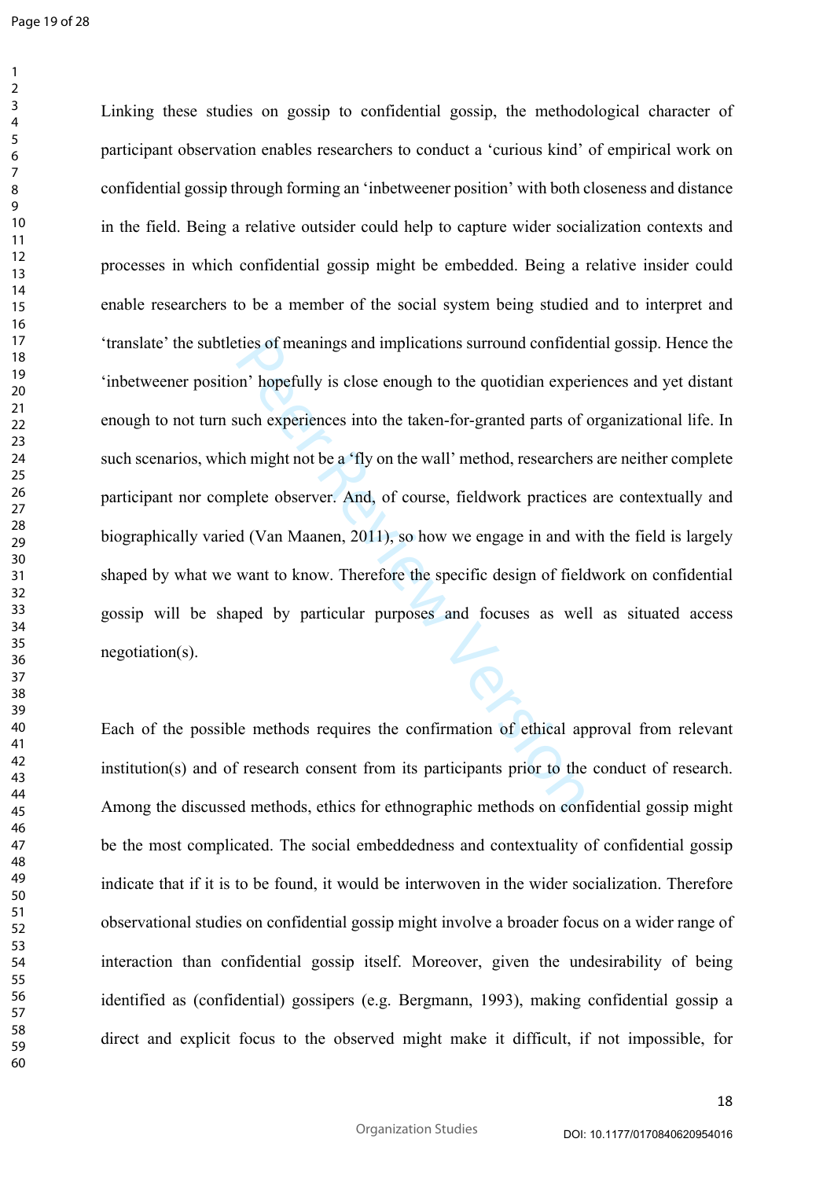$\mathbf{1}$  $\overline{2}$  $\overline{3}$  $\overline{4}$ 

ties of meanings and implications surround confiden<br>on' hopefully is close enough to the quotidian exper<br>such experiences into the taken-for-granted parts of<br>th might not be a 'fly on the wall' method, researcher<br>plete obs Linking these studies on gossip to confidential gossip, the methodological character of participant observation enables researchers to conduct a 'curious kind' of empirical work on confidential gossip through forming an 'inbetweener position' with both closeness and distance in the field. Being a relative outsider could help to capture wider socialization contexts and processes in which confidential gossip might be embedded. Being a relative insider could enable researchers to be a member of the social system being studied and to interpret and 'translate' the subtleties of meanings and implications surround confidential gossip. Hence the 'inbetweener position' hopefully is close enough to the quotidian experiences and yet distant enough to not turn such experiences into the taken-for-granted parts of organizational life. In such scenarios, which might not be a 'fly on the wall' method, researchers are neither complete participant nor complete observer. And, of course, fieldwork practices are contextually and biographically varied (Van Maanen, 2011), so how we engage in and with the field is largely shaped by what we want to know. Therefore the specific design of fieldwork on confidential gossip will be shaped by particular purposes and focuses as well as situated access negotiation(s).

Each of the possible methods requires the confirmation of ethical approval from relevant institution(s) and of research consent from its participants prior to the conduct of research. Among the discussed methods, ethics for ethnographic methods on confidential gossip might be the most complicated. The social embeddedness and contextuality of confidential gossip indicate that if it is to be found, it would be interwoven in the wider socialization. Therefore observational studies on confidential gossip might involve a broader focus on a wider range of interaction than confidential gossip itself. Moreover, given the undesirability of being identified as (confidential) gossipers (e.g. Bergmann, 1993), making confidential gossip a direct and explicit focus to the observed might make it difficult, if not impossible, for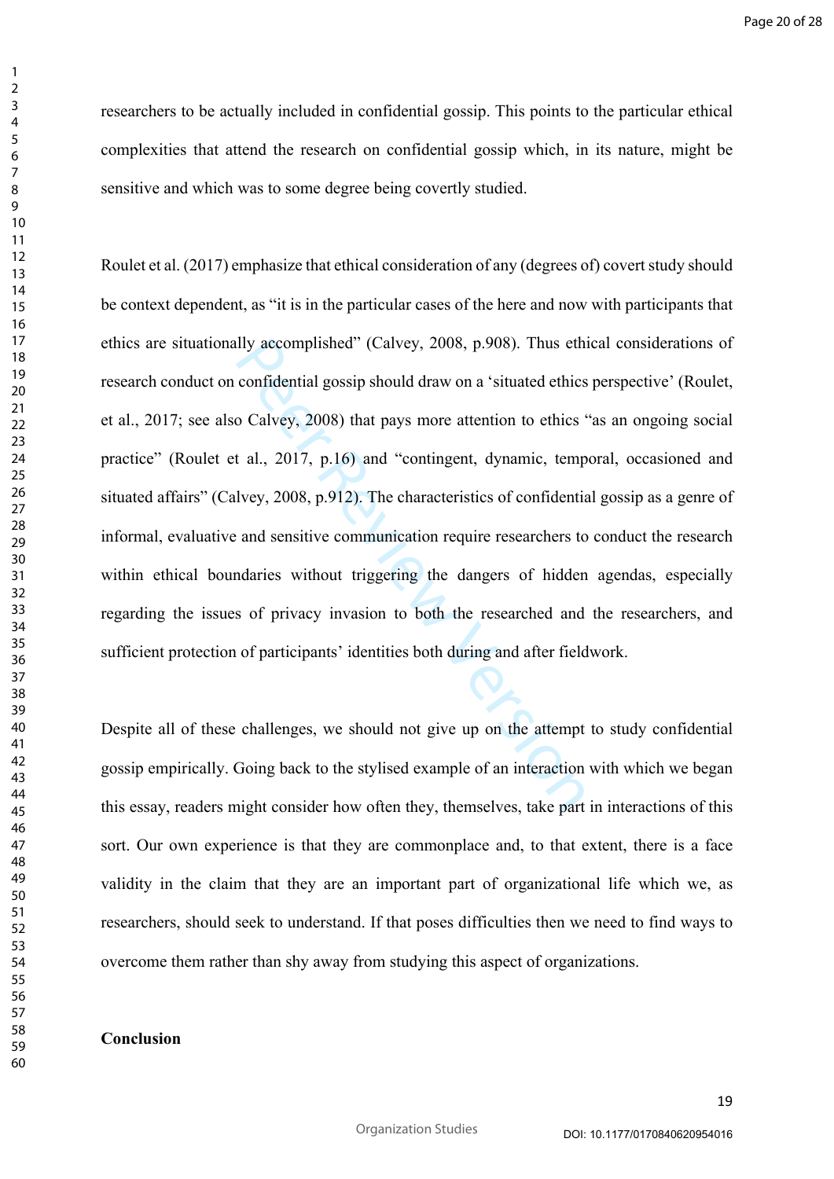researchers to be actually included in confidential gossip. This points to the particular ethical complexities that attend the research on confidential gossip which, in its nature, might be sensitive and which was to some degree being covertly studied.

Ily accomplished" (Calvey, 2008, p.908). Thus eth<br>confidential gossip should draw on a 'situated ethics<br>o Calvey, 2008) that pays more attention to ethics '<br>t al., 2017, p.16) and "contingent, dynamic, temp<br>lvey, 2008, p.9 Roulet et al. (2017) emphasize that ethical consideration of any (degrees of) covert study should be context dependent, as "it is in the particular cases of the here and now with participants that ethics are situationally accomplished" (Calvey, 2008, p.908). Thus ethical considerations of research conduct on confidential gossip should draw on a 'situated ethics perspective' (Roulet, et al., 2017; see also Calvey, 2008) that pays more attention to ethics "as an ongoing social practice" (Roulet et al., 2017, p.16) and "contingent, dynamic, temporal, occasioned and situated affairs" (Calvey, 2008, p.912). The characteristics of confidential gossip as a genre of informal, evaluative and sensitive communication require researchers to conduct the research within ethical boundaries without triggering the dangers of hidden agendas, especially regarding the issues of privacy invasion to both the researched and the researchers, and sufficient protection of participants' identities both during and after fieldwork.

Despite all of these challenges, we should not give up on the attempt to study confidential gossip empirically. Going back to the stylised example of an interaction with which we began this essay, readers might consider how often they, themselves, take part in interactions of this sort. Our own experience is that they are commonplace and, to that extent, there is a face validity in the claim that they are an important part of organizational life which we, as researchers, should seek to understand. If that poses difficulties then we need to find ways to overcome them rather than shy away from studying this aspect of organizations.

Organization Studies

# **Conclusion**

 $\mathbf{1}$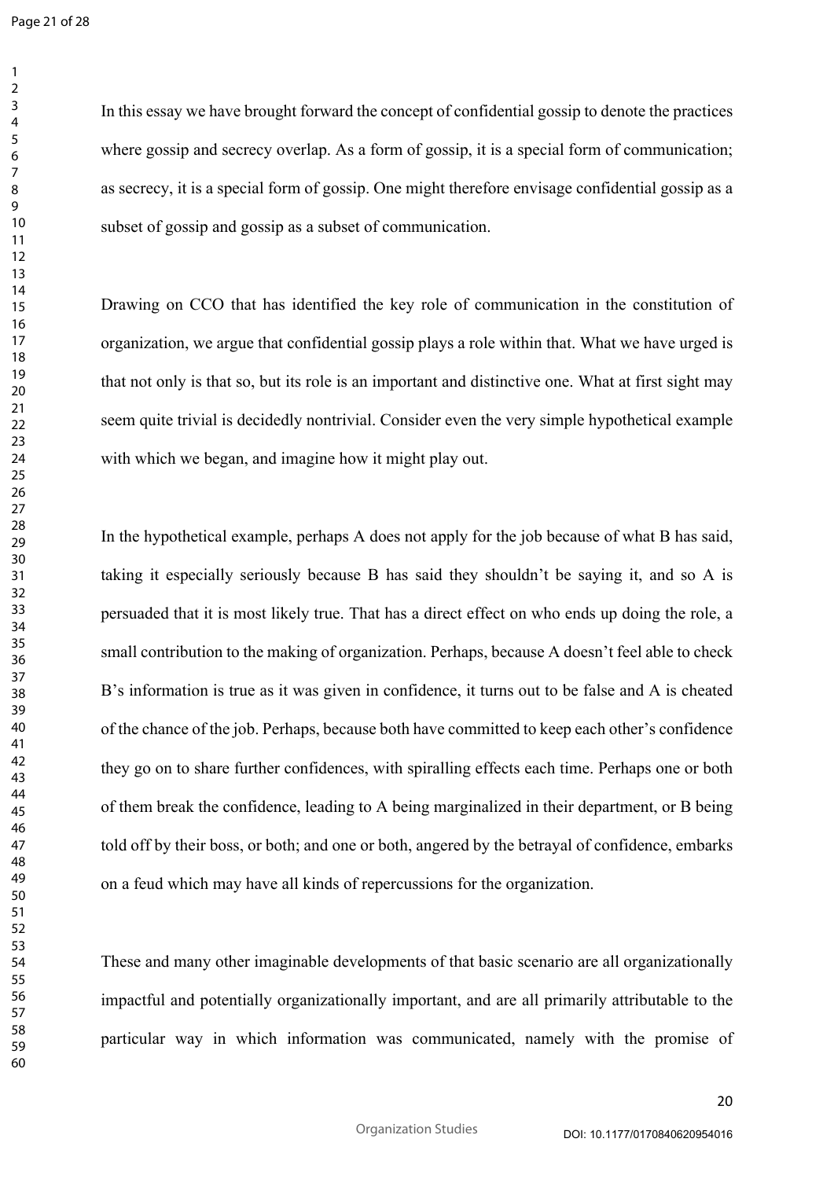Page 21 of 28

 $\mathbf{1}$ 

In this essay we have brought forward the concept of confidential gossip to denote the practices where gossip and secrecy overlap. As a form of gossip, it is a special form of communication; as secrecy, it is a special form of gossip. One might therefore envisage confidential gossip as a subset of gossip and gossip as a subset of communication.

Drawing on CCO that has identified the key role of communication in the constitution of organization, we argue that confidential gossip plays a role within that. What we have urged is that not only is that so, but its role is an important and distinctive one. What at first sight may seem quite trivial is decidedly nontrivial. Consider even the very simple hypothetical example with which we began, and imagine how it might play out.

that confidential gossip plays a role within that. V<br>so, but its role is an important and distinctive one. W<br>decidedly nontrivial. Consider even the very simple<br>n, and imagine how it might play out.<br>example, perhaps A does In the hypothetical example, perhaps A does not apply for the job because of what B has said, taking it especially seriously because B has said they shouldn't be saying it, and so A is persuaded that it is most likely true. That has a direct effect on who ends up doing the role, a small contribution to the making of organization. Perhaps, because A doesn't feel able to check B's information is true as it was given in confidence, it turns out to be false and A is cheated of the chance of the job. Perhaps, because both have committed to keep each other's confidence they go on to share further confidences, with spiralling effects each time. Perhaps one or both of them break the confidence, leading to A being marginalized in their department, or B being told off by their boss, or both; and one or both, angered by the betrayal of confidence, embarks on a feud which may have all kinds of repercussions for the organization.

These and many other imaginable developments of that basic scenario are all organizationally impactful and potentially organizationally important, and are all primarily attributable to the particular way in which information was communicated, namely with the promise of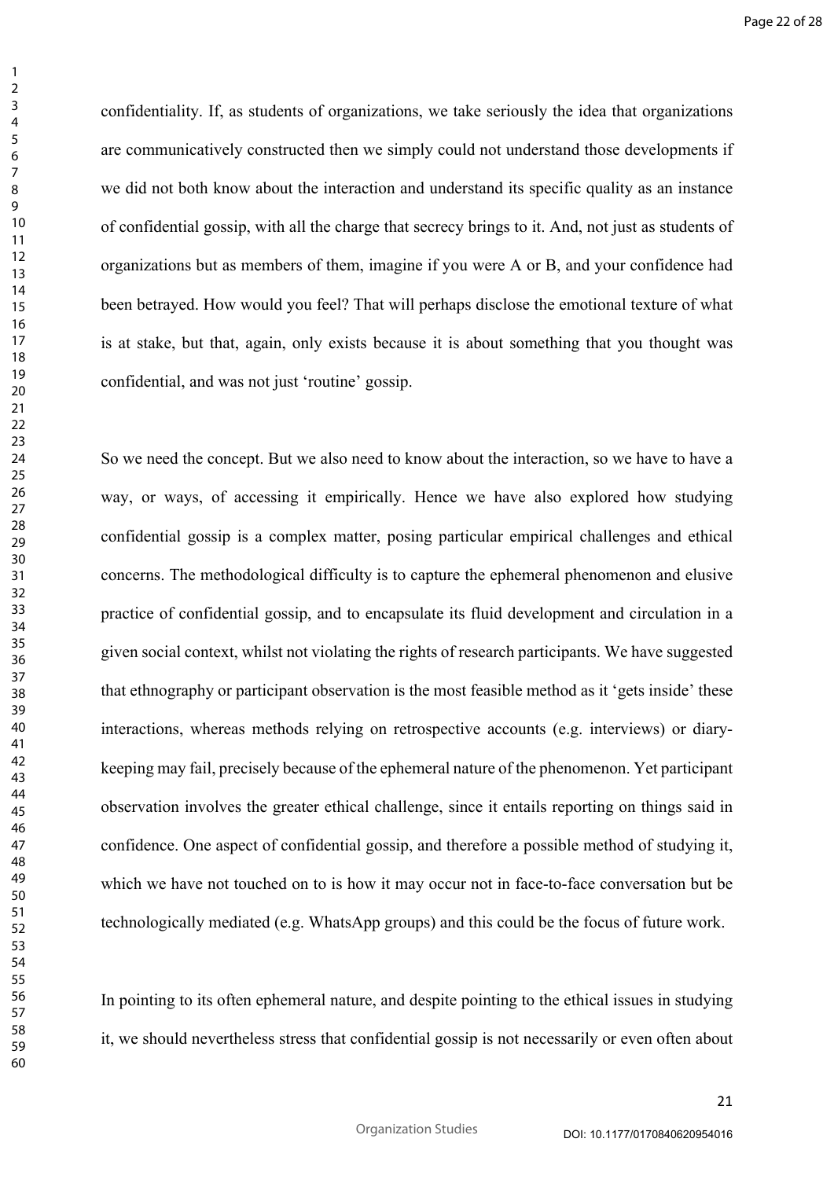confidentiality. If, as students of organizations, we take seriously the idea that organizations are communicatively constructed then we simply could not understand those developments if we did not both know about the interaction and understand its specific quality as an instance of confidential gossip, with all the charge that secrecy brings to it. And, not just as students of organizations but as members of them, imagine if you were A or B, and your confidence had been betrayed. How would you feel? That will perhaps disclose the emotional texture of what is at stake, but that, again, only exists because it is about something that you thought was confidential, and was not just 'routine' gossip.

all again, only exists because it is about something is<br>not just 'routine' gossip.<br>eept. But we also need to know about the interaction,<br>accessing it empirically. Hence we have also ex<br>is a complex matter, posing particula So we need the concept. But we also need to know about the interaction, so we have to have a way, or ways, of accessing it empirically. Hence we have also explored how studying confidential gossip is a complex matter, posing particular empirical challenges and ethical concerns. The methodological difficulty is to capture the ephemeral phenomenon and elusive practice of confidential gossip, and to encapsulate its fluid development and circulation in a given social context, whilst not violating the rights of research participants. We have suggested that ethnography or participant observation is the most feasible method as it 'gets inside' these interactions, whereas methods relying on retrospective accounts (e.g. interviews) or diarykeeping may fail, precisely because of the ephemeral nature of the phenomenon. Yet participant observation involves the greater ethical challenge, since it entails reporting on things said in confidence. One aspect of confidential gossip, and therefore a possible method of studying it, which we have not touched on to is how it may occur not in face-to-face conversation but be technologically mediated (e.g. WhatsApp groups) and this could be the focus of future work.

In pointing to its often ephemeral nature, and despite pointing to the ethical issues in studying it, we should nevertheless stress that confidential gossip is not necessarily or even often about

 $\mathbf{1}$  $\overline{2}$  $\overline{3}$  $\overline{4}$  $\overline{7}$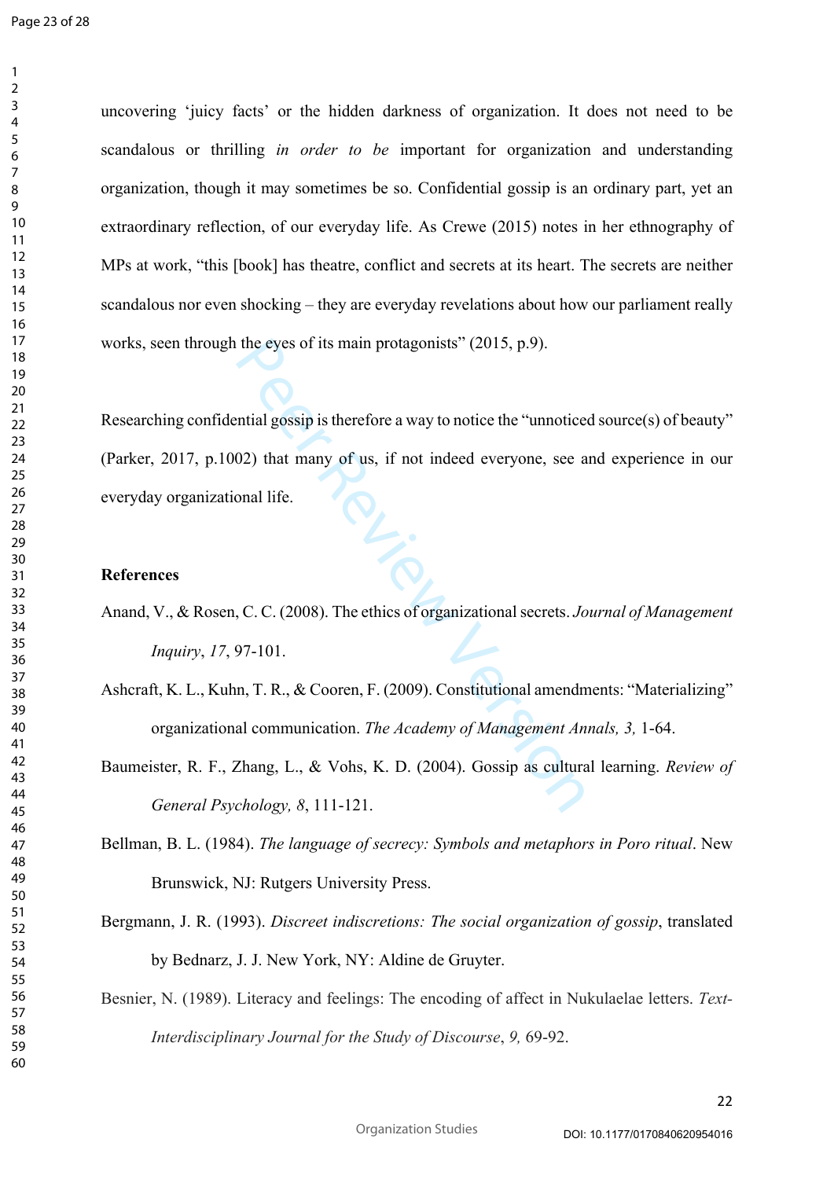$\mathbf{1}$  $\overline{2}$  $\overline{3}$  $\overline{4}$  $\overline{7}$ 

uncovering 'juicy facts' or the hidden darkness of organization. It does not need to be scandalous or thrilling *in order to be* important for organization and understanding organization, though it may sometimes be so. Confidential gossip is an ordinary part, yet an extraordinary reflection, of our everyday life. As Crewe (2015) notes in her ethnography of MPs at work, "this [book] has theatre, conflict and secrets at its heart. The secrets are neither scandalous nor even shocking – they are everyday revelations about how our parliament really works, seen through the eyes of its main protagonists" (2015, p.9).

the eyes of its main protagonists" (2015, p.9).<br>
Intial gossip is therefore a way to notice the "unnotice<br>
02) that many of us, if not indeed everyone, see a<br>
onal life.<br>
C. C. (2008). The ethics of organizational secrets. Researching confidential gossip is therefore a way to notice the "unnoticed source(s) of beauty" (Parker, 2017, p.1002) that many of us, if not indeed everyone, see and experience in our everyday organizational life.

# **References**

- Anand, V., & Rosen, C. C. (2008). The ethics of organizational secrets. *Journal of Management Inquiry*, *17*, 97-101.
- Ashcraft, K. L., Kuhn, T. R., & Cooren, F. (2009). Constitutional amendments: "Materializing" organizational communication. *The Academy of Management Annals, 3,* 1-64.
- Baumeister, R. F., Zhang, L., & Vohs, K. D. (2004). Gossip as cultural learning. *Review of General Psychology, 8*, 111-121.
- Bellman, B. L. (1984). *The language of secrecy: Symbols and metaphors in Poro ritual*. New Brunswick, NJ: Rutgers University Press.
- Bergmann, J. R. (1993). *Discreet indiscretions: The social organization of gossip*, translated by Bednarz, J. J. New York, NY: Aldine de Gruyter.
- Besnier, N. (1989). Literacy and feelings: The encoding of affect in Nukulaelae letters. *Text-Interdisciplinary Journal for the Study of Discourse*, *9,* 69-92.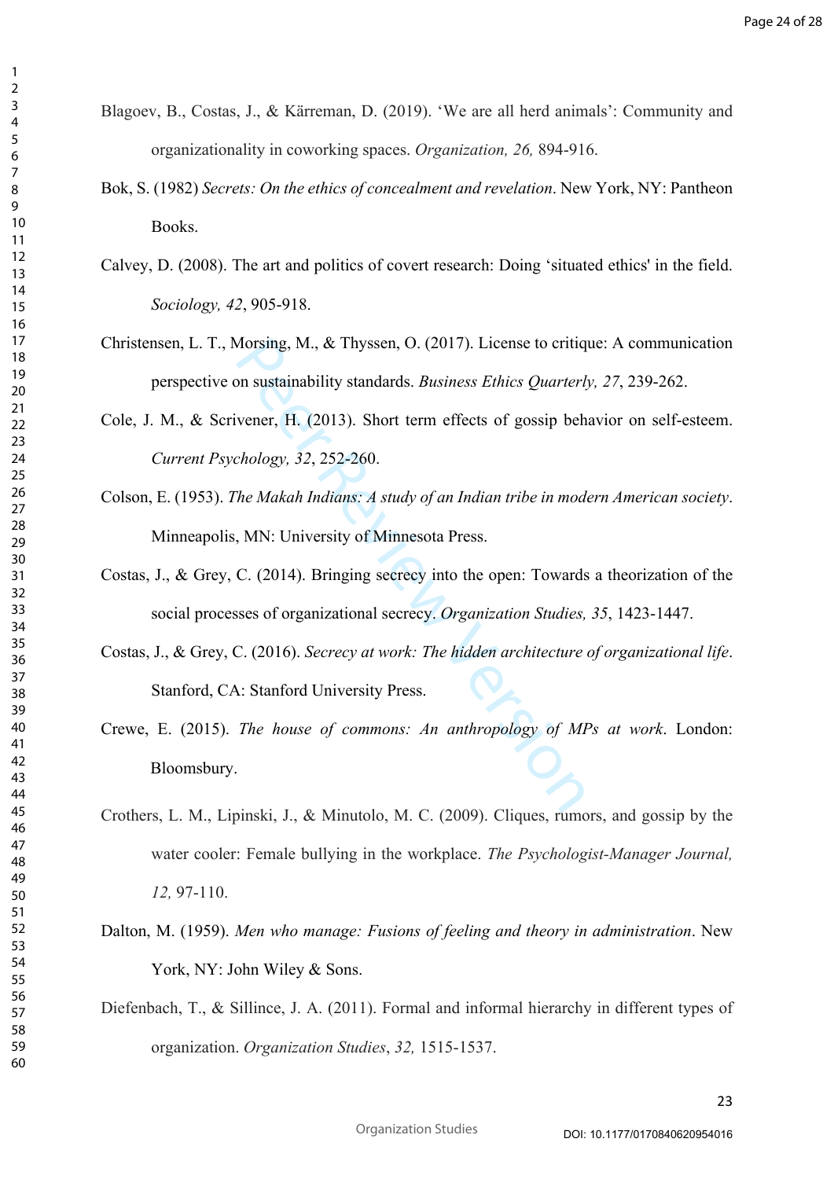Blagoev, B., Costas, J., & Kärreman, D. (2019). 'We are all herd animals': Community and organizationality in coworking spaces. *Organization, 26,* 894-916.

 $\mathbf{1}$  $\overline{2}$  $\overline{3}$  $\overline{4}$  $\overline{7}$ 

- Bok, S. (1982) *Secrets: On the ethics of concealment and revelation*. New York, NY: Pantheon Books.
- Calvey, D. (2008). The art and politics of covert research: Doing 'situated ethics' in the field. *Sociology, 42*, 905-918.
- Christensen, L. T., Morsing, M., & Thyssen, O. (2017). License to critique: A communication perspective on sustainability standards. *Business Ethics Quarterly, 27*, 239-262.
- Cole, J. M., & Scrivener, H. (2013). Short term effects of gossip behavior on self-esteem. *Current Psychology, 32*, 252-260.
- Colson, E. (1953). *The Makah Indians: A study of an Indian tribe in modern American society*. Minneapolis, MN: University of Minnesota Press.
- Costas, J., & Grey, C. (2014). Bringing secrecy into the open: Towards a theorization of the social processes of organizational secrecy. *Organization Studies, 35*, 1423-1447.
- Morsing, M., & Thyssen, O. (2017). License to critiq<br>
on sustainability standards. *Business Ethics Quarterl*<br>
vener, H. (2013). Short term effects of gossip beh<br>
chology, 32, 252-260.<br>
The Makah Indians: A study of an Ind Costas, J., & Grey, C. (2016). *Secrecy at work: The hidden architecture of organizational life*. Stanford, CA: Stanford University Press.
- Crewe, E. (2015). *The house of commons: An anthropology of MPs at work*. London: Bloomsbury.
- Crothers, L. M., Lipinski, J., & Minutolo, M. C. (2009). Cliques, rumors, and gossip by the water cooler: Female bullying in the workplace. *The Psychologist-Manager Journal, 12,* 97-110.
- Dalton, M. (1959). *Men who manage: Fusions of feeling and theory in administration*. New York, NY: John Wiley & Sons.
- Diefenbach, T., & Sillince, J. A. (2011). Formal and informal hierarchy in different types of organization. *Organization Studies*, *32,* 1515-1537.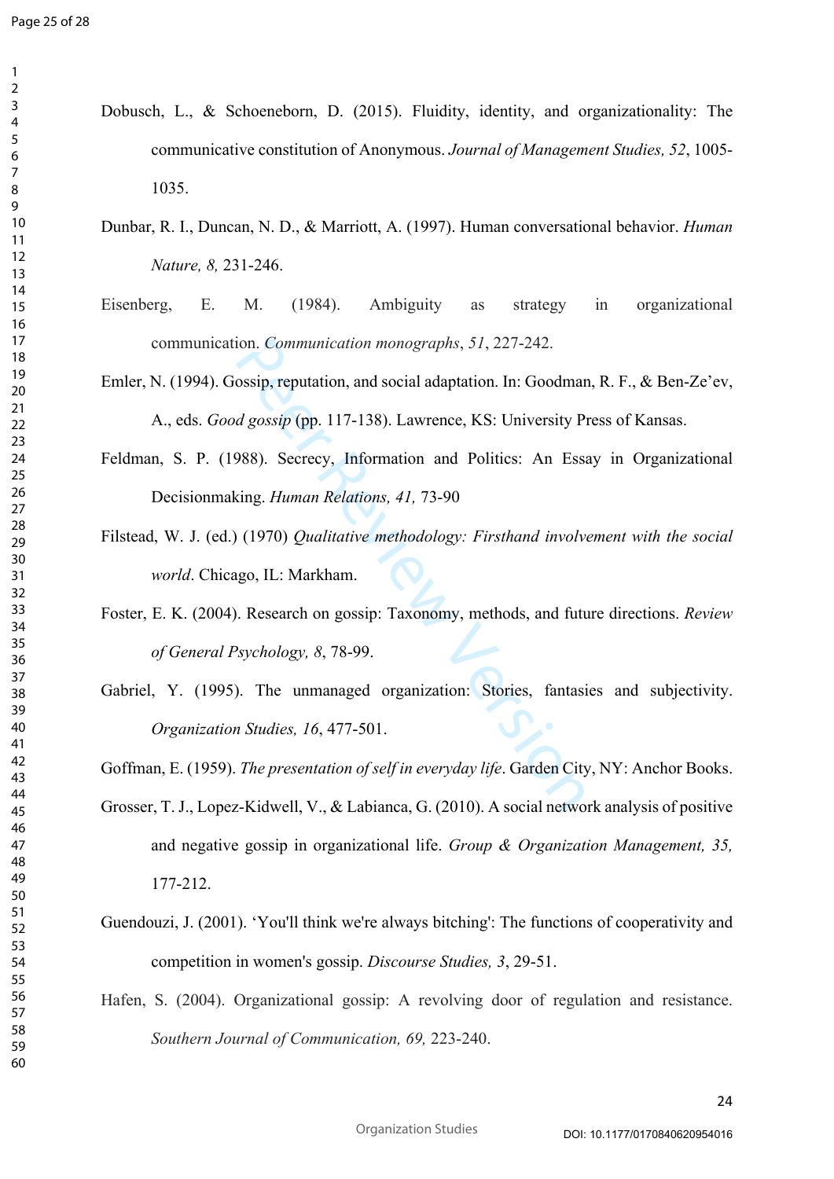$\mathbf{1}$  $\overline{2}$  $\overline{3}$  $\overline{4}$ 

- Dobusch, L., & Schoeneborn, D. (2015). Fluidity, identity, and organizationality: The communicative constitution of Anonymous. *Journal of Management Studies, 52*, 1005- 1035.
- Dunbar, R. I., Duncan, N. D., & Marriott, A. (1997). Human conversational behavior. *Human Nature, 8,* 231-246.
- Eisenberg, E. M. (1984). Ambiguity as strategy in organizational communication. *Communication monographs*, *51*, 227-242.
- Emler, N. (1994). Gossip, reputation, and social adaptation. In: Goodman, R. F., & Ben-Ze'ev, A., eds. *Good gossip* (pp. 117-138). Lawrence, KS: University Press of Kansas.
- Feldman, S. P. (1988). Secrecy, Information and Politics: An Essay in Organizational Decisionmaking. *Human Relations, 41,* 73-90
- Filstead, W. J. (ed.) (1970) *Qualitative methodology: Firsthand involvement with the social world*. Chicago, IL: Markham.
- Foster, E. K. (2004). Research on gossip: Taxonomy, methods, and future directions. *Review of General Psychology, 8*, 78-99.
- ion. Communication monographs, 51, 227-242.<br>
ossip, reputation, and social adaptation. In: Goodmar<br> *d gossip* (pp. 117-138). Lawrence, KS: University P:<br>
988). Secrecy, Information and Politics: An Essa<br>
sing. *Human Rela* Gabriel, Y. (1995). The unmanaged organization: Stories, fantasies and subjectivity. *Organization Studies, 16*, 477-501.

Goffman, E. (1959). *The presentation of self in everyday life*. Garden City, NY: Anchor Books.

- Grosser, T. J., Lopez-Kidwell, V., & Labianca, G. (2010). A social network analysis of positive and negative gossip in organizational life. *Group & Organization Management, 35,* 177-212.
- Guendouzi, J. (2001). 'You'll think we're always bitching': The functions of cooperativity and competition in women's gossip. *Discourse Studies, 3*, 29-51.
- Hafen, S. (2004). Organizational gossip: A revolving door of regulation and resistance. *Southern Journal of Communication, 69,* 223-240.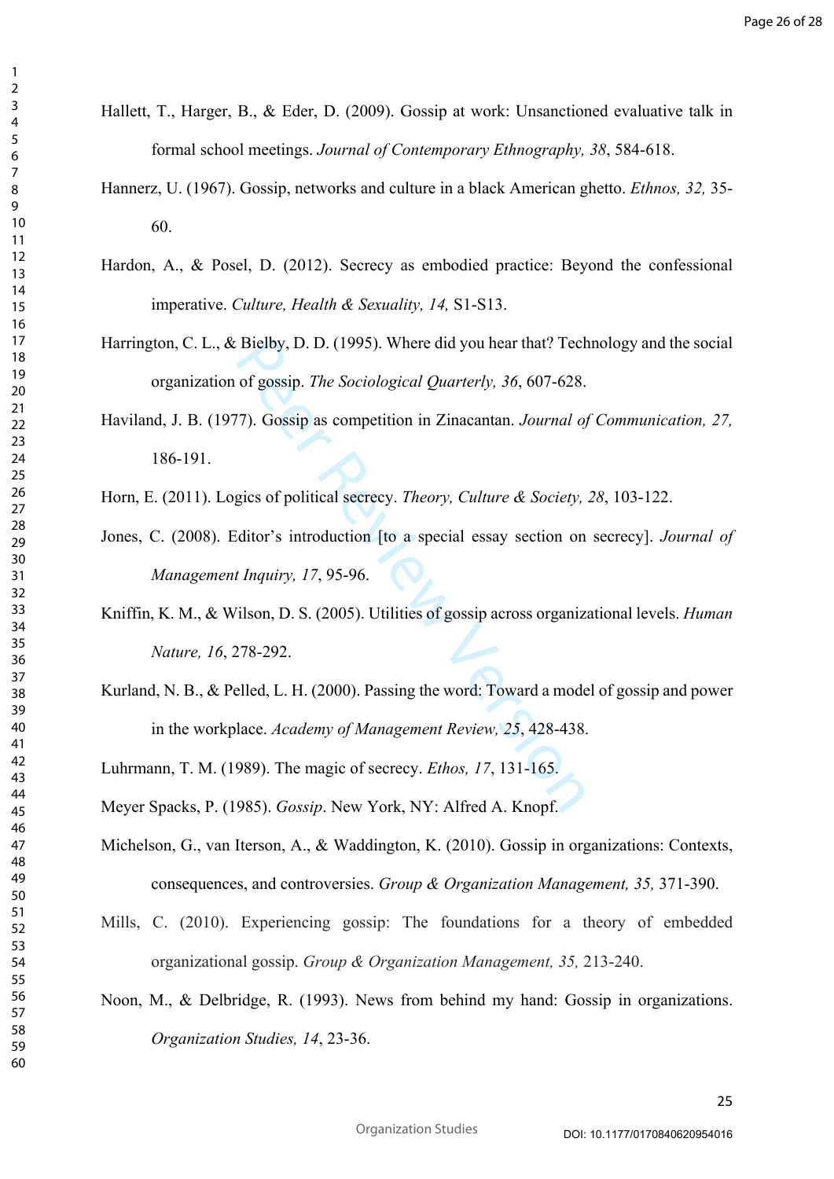- Hallett, T., Harger, B., & Eder, D. (2009). Gossip at work: Unsanctioned evaluative talk in formal school meetings. *Journal of Contemporary Ethnography, 38*, 584-618.
- Hannerz, U. (1967). Gossip, networks and culture in a black American ghetto. *Ethnos, 32,* 35- 60.
- Hardon, A., & Posel, D. (2012). Secrecy as embodied practice: Beyond the confessional imperative. *Culture, Health & Sexuality, 14,* S1-S13.
- Harrington, C. L., & Bielby, D. D. (1995). Where did you hear that? Technology and the social organization of gossip. *The Sociological Quarterly, 36*, 607-628.
- Bielby, D. D. (1995). Where did you hear that? Tech<br>of gossip. *The Sociological Quarterly*, 36, 607-628.<br>7). Gossip as competition in Zinacantan. *Journal of*<br>gics of political secrecy. *Theory*, *Culture & Society*,<br>idit Haviland, J. B. (1977). Gossip as competition in Zinacantan. *Journal of Communication, 27,* 186-191.
- Horn, E. (2011). Logics of political secrecy. *Theory, Culture & Society, 28*, 103-122.
- Jones, C. (2008). Editor's introduction [to a special essay section on secrecy]. *Journal of Management Inquiry, 17*, 95-96.
- Kniffin, K. M., & Wilson, D. S. (2005). Utilities of gossip across organizational levels. *Human Nature, 16*, 278-292.
- Kurland, N. B., & Pelled, L. H. (2000). Passing the word: Toward a model of gossip and power in the workplace. *Academy of Management Review, 25*, 428-438.
- Luhrmann, T. M. (1989). The magic of secrecy. *Ethos, 17*, 131-165.
- Meyer Spacks, P. (1985). *Gossip*. New York, NY: Alfred A. Knopf.
- Michelson, G., van Iterson, A., & Waddington, K. (2010). Gossip in organizations: Contexts, consequences, and controversies. *Group & Organization Management, 35,* 371-390.
- Mills, C. (2010). Experiencing gossip: The foundations for a theory of embedded organizational gossip. *Group & Organization Management, 35,* 213-240.
- Noon, M., & Delbridge, R. (1993). News from behind my hand: Gossip in organizations. *Organization Studies, 14*, 23-36.

 $\mathbf{1}$  $\overline{2}$  $\overline{3}$  $\overline{4}$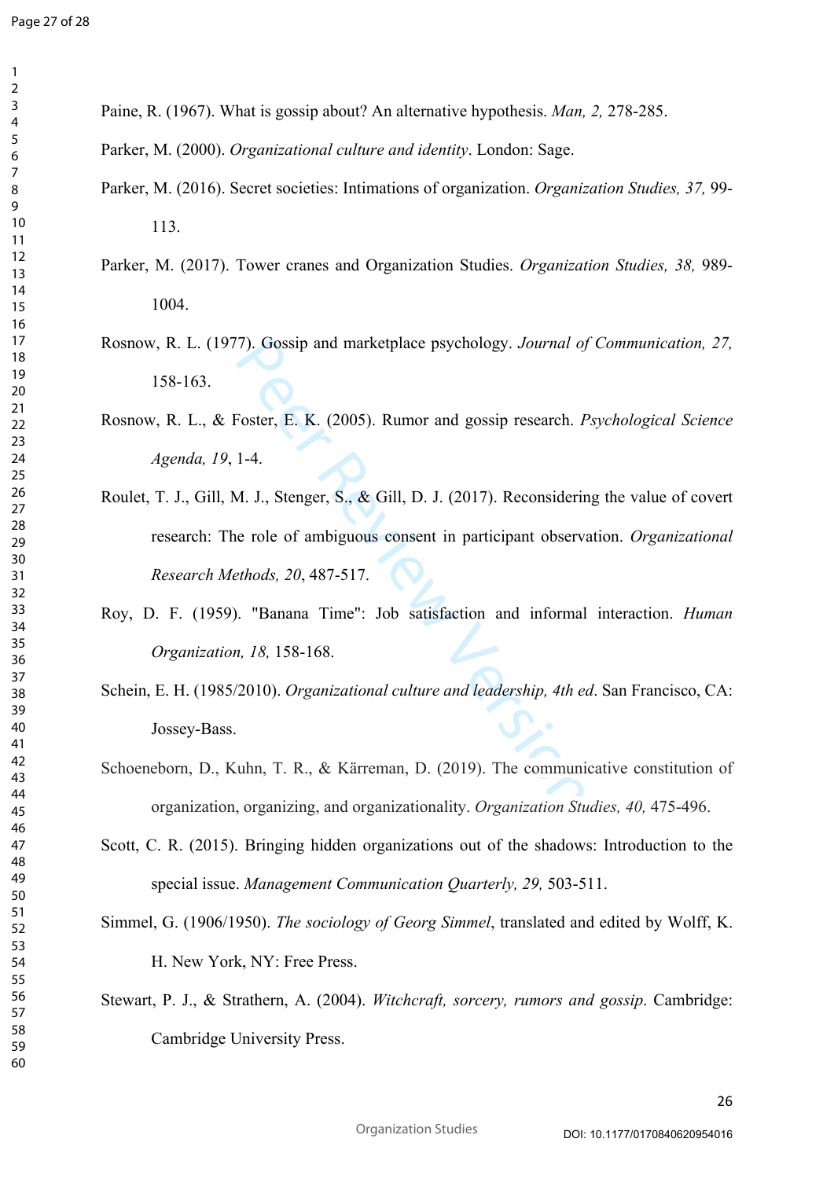Paine, R. (1967). What is gossip about? An alternative hypothesis. *Man, 2,* 278-285.

Parker, M. (2000). *Organizational culture and identity*. London: Sage.

- Parker, M. (2016). Secret societies: Intimations of organization. *Organization Studies, 37,* 99- 113.
- Parker, M. (2017). Tower cranes and Organization Studies. *Organization Studies, 38,* 989- 1004.
- Rosnow, R. L. (1977). Gossip and marketplace psychology. *Journal of Communication, 27,* 158-163.
- Rosnow, R. L., & Foster, E. K. (2005). Rumor and gossip research. *Psychological Science Agenda, 19*, 1-4.
- (7). Gossip and marketplace psychology. Journal of Toster, E. K. (2005). Rumor and gossip research. *F*<br>1-4.<br>1. J., Stenger, S., & Gill, D. J. (2017). Reconsiderir<br>in e role of ambiguous consent in participant observariant Roulet, T. J., Gill, M. J., Stenger, S., & Gill, D. J. (2017). Reconsidering the value of covert research: The role of ambiguous consent in participant observation. *Organizational Research Methods, 20*, 487-517.
- Roy, D. F. (1959). "Banana Time": Job satisfaction and informal interaction. *Human Organization, 18,* 158-168.
- Schein, E. H. (1985/2010). *Organizational culture and leadership, 4th ed*. San Francisco, CA: Jossey-Bass.
- Schoeneborn, D., Kuhn, T. R., & Kärreman, D. (2019). The communicative constitution of organization, organizing, and organizationality. *Organization Studies, 40,* 475-496.
- Scott, C. R. (2015). Bringing hidden organizations out of the shadows: Introduction to the special issue. *Management Communication Quarterly, 29,* 503-511.
- Simmel, G. (1906/1950). *The sociology of Georg Simmel*, translated and edited by Wolff, K. H. New York, NY: Free Press.
- Stewart, P. J., & Strathern, A. (2004). *Witchcraft, sorcery, rumors and gossip*. Cambridge: Cambridge University Press.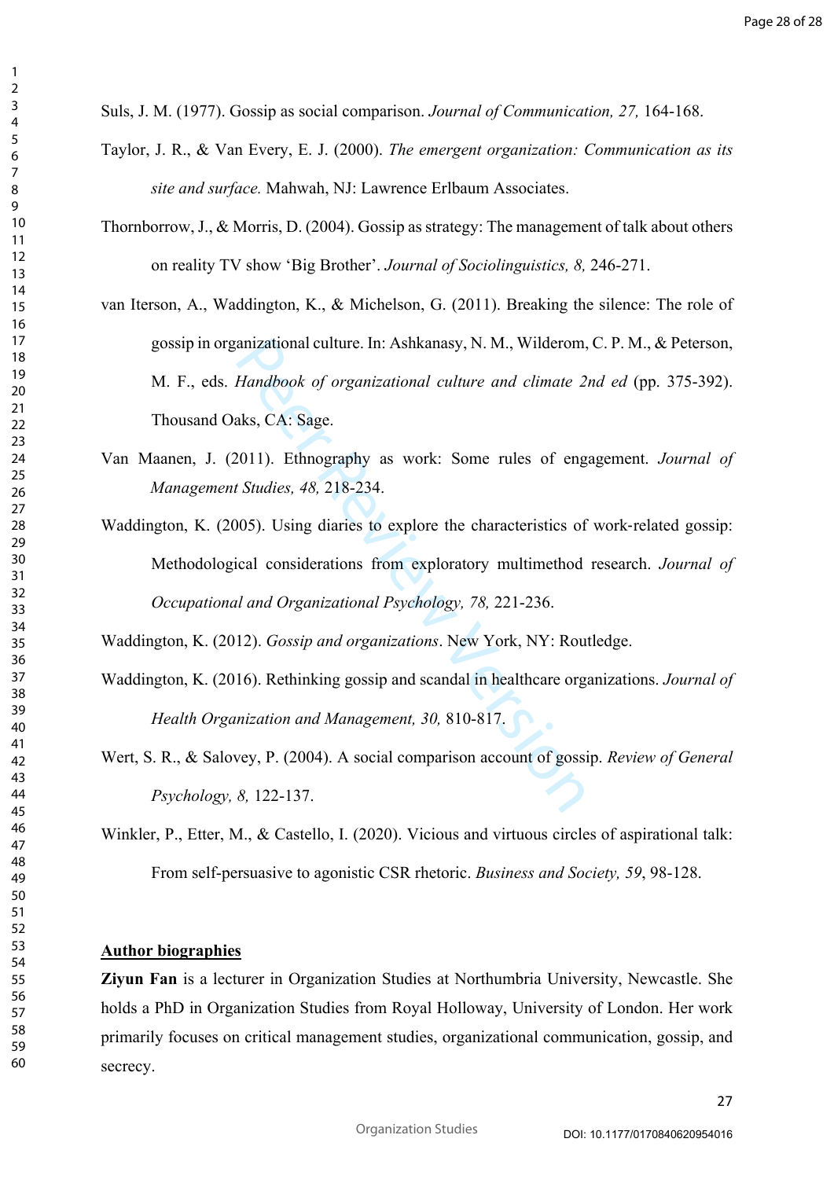Suls, J. M. (1977). Gossip as social comparison. *Journal of Communication, 27,* 164-168.

- Taylor, J. R., & Van Every, E. J. (2000). *The emergent organization: Communication as its site and surface.* Mahwah, NJ: Lawrence Erlbaum Associates.
- Thornborrow, J., & Morris, D. (2004). Gossip as strategy: The management of talk about others on reality TV show 'Big Brother'. *Journal of Sociolinguistics, 8,* 246-271.
- van Iterson, A., Waddington, K., & Michelson, G. (2011). Breaking the silence: The role of gossip in organizational culture. In: Ashkanasy, N. M., Wilderom, C. P. M., & Peterson, M. F., eds. *Handbook of organizational culture and climate 2nd ed* (pp. 375-392). Thousand Oaks, CA: Sage.
- Van Maanen, J. (2011). Ethnography as work: Some rules of engagement. *Journal of Management Studies, 48,* 218-234.
- anizational culture. In: Ashkanasy, N. M., Wilderom,<br>*Handbook of organizational culture and climate 2*<br>aks, CA: Sage.<br>2011). Ethnography as work: Some rules of eng<br>*t Studies, 48, 218-234.*<br>1005). Using diaries to explore Waddington, K. (2005). Using diaries to explore the characteristics of work ‐related gossip: Methodological considerations from exploratory multimethod research. *Journal of Occupational and Organizational Psychology, 78,* 221-236.

Waddington, K. (2012). *Gossip and organizations*. New York, NY: Routledge.

- Waddington, K. (2016). Rethinking gossip and scandal in healthcare organizations. *Journal of Health Organization and Management, 30,* 810-817.
- Wert, S. R., & Salovey, P. (2004). A social comparison account of gossip. *Review of General Psychology, 8,* 122-137.
- Winkler, P., Etter, M., & Castello, I. (2020). Vicious and virtuous circles of aspirational talk: From self-persuasive to agonistic CSR rhetoric. *Business and Society, 59*, 98-128.

### **Author biographies**

**Ziyun Fan** is a lecturer in Organization Studies at Northumbria University, Newcastle. She holds a PhD in Organization Studies from Royal Holloway, University of London. Her work primarily focuses on critical management studies, organizational communication, gossip, and secrecy.

 $\mathbf{1}$